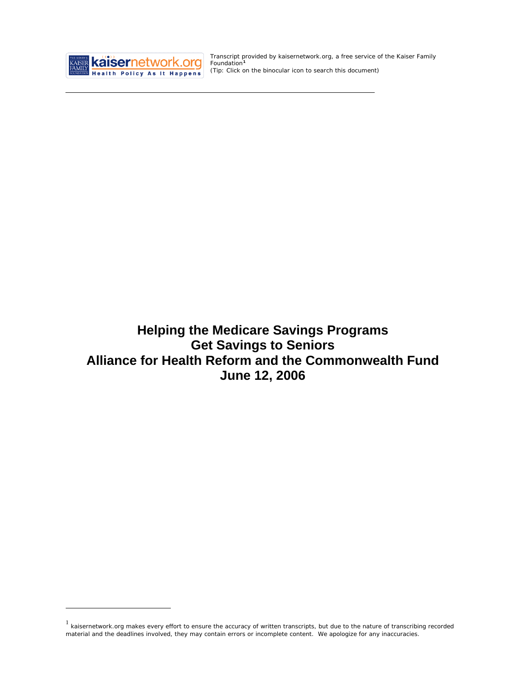

<u>.</u>

Transcript provided by kaisernetwork.org, a free service of the Kaiser Family Foundation**[1](#page-0-0)** *(Tip: Click on the binocular icon to search this document)* 

**Helping the Medicare Savings Programs Get Savings to Seniors Alliance for Health Reform and the Commonwealth Fund June 12, 2006** 

<span id="page-0-0"></span> $1$  kaisernetwork.org makes every effort to ensure the accuracy of written transcripts, but due to the nature of transcribing recorded material and the deadlines involved, they may contain errors or incomplete content. We apologize for any inaccuracies.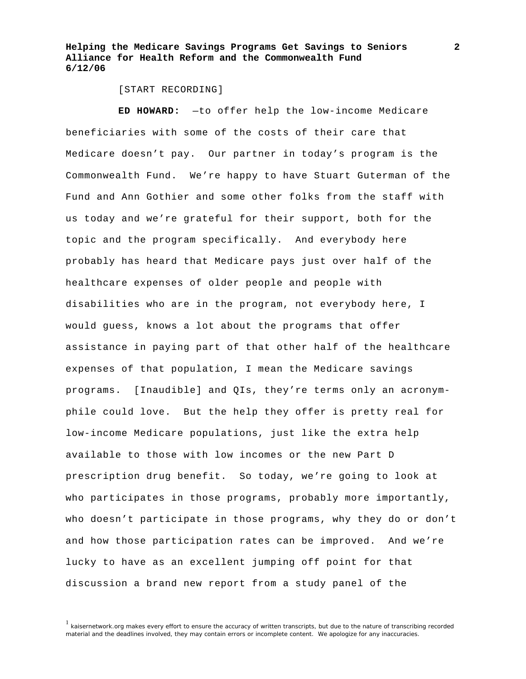[START RECORDING]

**ED HOWARD:** —to offer help the low-income Medicare beneficiaries with some of the costs of their care that Medicare doesn't pay. Our partner in today's program is the Commonwealth Fund. We're happy to have Stuart Guterman of the Fund and Ann Gothier and some other folks from the staff with us today and we're grateful for their support, both for the topic and the program specifically. And everybody here probably has heard that Medicare pays just over half of the healthcare expenses of older people and people with disabilities who are in the program, not everybody here, I would guess, knows a lot about the programs that offer assistance in paying part of that other half of the healthcare expenses of that population, I mean the Medicare savings programs. [Inaudible] and QIs, they're terms only an acronymphile could love. But the help they offer is pretty real for low-income Medicare populations, just like the extra help available to those with low incomes or the new Part D prescription drug benefit. So today, we're going to look at who participates in those programs, probably more importantly, who doesn't participate in those programs, why they do or don't and how those participation rates can be improved. And we're lucky to have as an excellent jumping off point for that discussion a brand new report from a study panel of the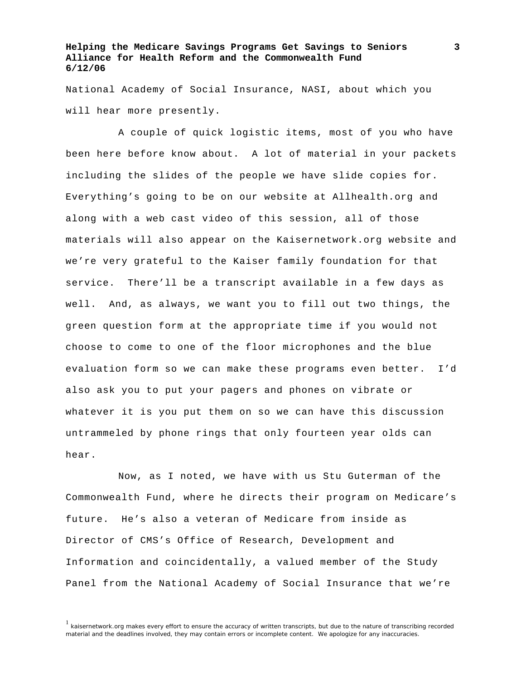National Academy of Social Insurance, NASI, about which you will hear more presently.

 A couple of quick logistic items, most of you who have been here before know about. A lot of material in your packets including the slides of the people we have slide copies for. Everything's going to be on our website at Allhealth.org and along with a web cast video of this session, all of those materials will also appear on the Kaisernetwork.org website and we're very grateful to the Kaiser family foundation for that service. There'll be a transcript available in a few days as well. And, as always, we want you to fill out two things, the green question form at the appropriate time if you would not choose to come to one of the floor microphones and the blue evaluation form so we can make these programs even better. I'd also ask you to put your pagers and phones on vibrate or whatever it is you put them on so we can have this discussion untrammeled by phone rings that only fourteen year olds can hear.

 Now, as I noted, we have with us Stu Guterman of the Commonwealth Fund, where he directs their program on Medicare's future. He's also a veteran of Medicare from inside as Director of CMS's Office of Research, Development and Information and coincidentally, a valued member of the Study Panel from the National Academy of Social Insurance that we're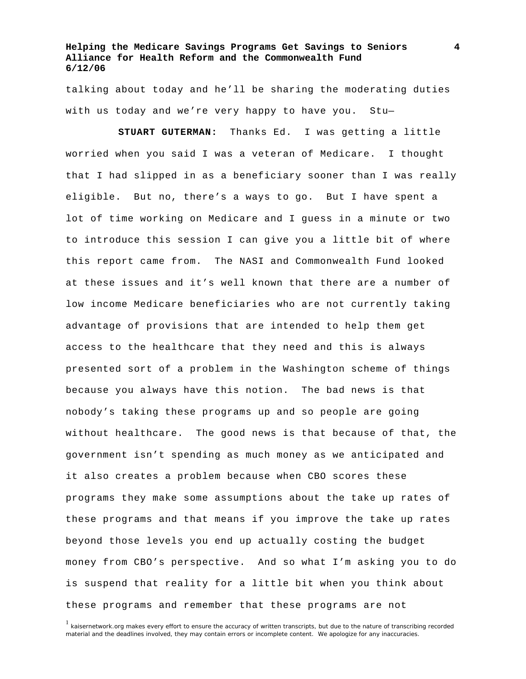talking about today and he'll be sharing the moderating duties with us today and we're very happy to have you. Stu—

**STUART GUTERMAN:** Thanks Ed. I was getting a little worried when you said I was a veteran of Medicare. I thought that I had slipped in as a beneficiary sooner than I was really eligible. But no, there's a ways to go. But I have spent a lot of time working on Medicare and I guess in a minute or two to introduce this session I can give you a little bit of where this report came from. The NASI and Commonwealth Fund looked at these issues and it's well known that there are a number of low income Medicare beneficiaries who are not currently taking advantage of provisions that are intended to help them get access to the healthcare that they need and this is always presented sort of a problem in the Washington scheme of things because you always have this notion. The bad news is that nobody's taking these programs up and so people are going without healthcare. The good news is that because of that, the government isn't spending as much money as we anticipated and it also creates a problem because when CBO scores these programs they make some assumptions about the take up rates of these programs and that means if you improve the take up rates beyond those levels you end up actually costing the budget money from CBO's perspective. And so what I'm asking you to do is suspend that reality for a little bit when you think about these programs and remember that these programs are not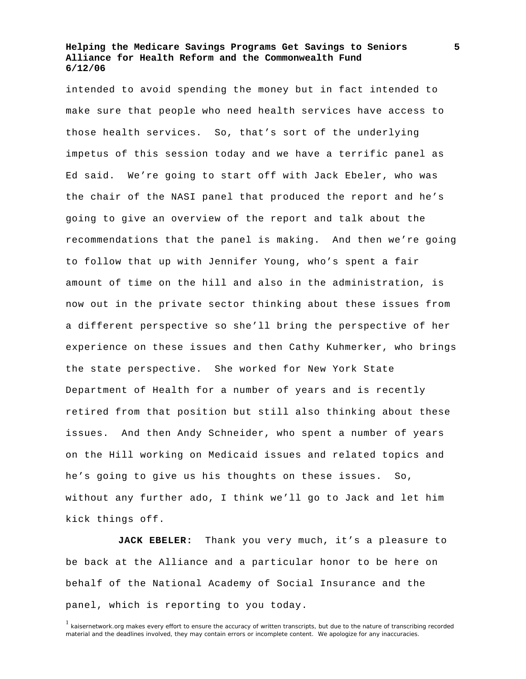intended to avoid spending the money but in fact intended to make sure that people who need health services have access to those health services. So, that's sort of the underlying impetus of this session today and we have a terrific panel as Ed said. We're going to start off with Jack Ebeler, who was the chair of the NASI panel that produced the report and he's going to give an overview of the report and talk about the recommendations that the panel is making. And then we're going to follow that up with Jennifer Young, who's spent a fair amount of time on the hill and also in the administration, is now out in the private sector thinking about these issues from a different perspective so she'll bring the perspective of her experience on these issues and then Cathy Kuhmerker, who brings the state perspective. She worked for New York State Department of Health for a number of years and is recently retired from that position but still also thinking about these issues. And then Andy Schneider, who spent a number of years on the Hill working on Medicaid issues and related topics and he's going to give us his thoughts on these issues. So, without any further ado, I think we'll go to Jack and let him kick things off.

**JACK EBELER:** Thank you very much, it's a pleasure to be back at the Alliance and a particular honor to be here on behalf of the National Academy of Social Insurance and the panel, which is reporting to you today.

<sup>&</sup>lt;sup>1</sup> kaisernetwork.org makes every effort to ensure the accuracy of written transcripts, but due to the nature of transcribing recorded material and the deadlines involved, they may contain errors or incomplete content. We apologize for any inaccuracies.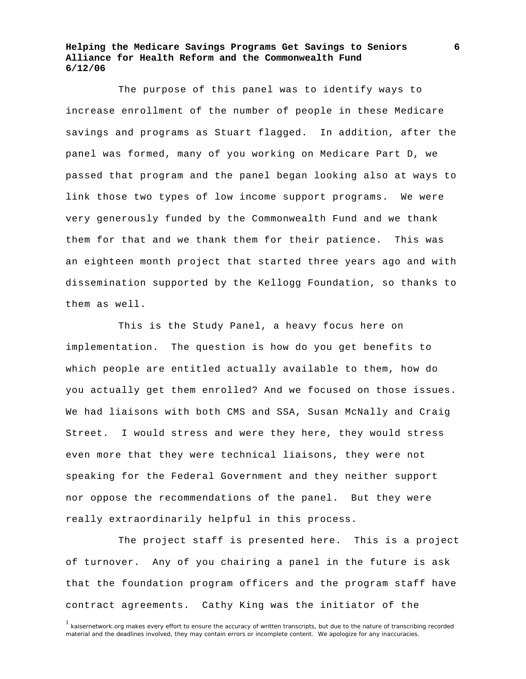The purpose of this panel was to identify ways to increase enrollment of the number of people in these Medicare savings and programs as Stuart flagged. In addition, after the panel was formed, many of you working on Medicare Part D, we passed that program and the panel began looking also at ways to link those two types of low income support programs. We were very generously funded by the Commonwealth Fund and we thank them for that and we thank them for their patience. This was an eighteen month project that started three years ago and with dissemination supported by the Kellogg Foundation, so thanks to them as well.

 This is the Study Panel, a heavy focus here on implementation. The question is how do you get benefits to which people are entitled actually available to them, how do you actually get them enrolled? And we focused on those issues. We had liaisons with both CMS and SSA, Susan McNally and Craig Street. I would stress and were they here, they would stress even more that they were technical liaisons, they were not speaking for the Federal Government and they neither support nor oppose the recommendations of the panel. But they were really extraordinarily helpful in this process.

 The project staff is presented here. This is a project of turnover. Any of you chairing a panel in the future is ask that the foundation program officers and the program staff have contract agreements. Cathy King was the initiator of the

<sup>&</sup>lt;sup>1</sup> kaisernetwork.org makes every effort to ensure the accuracy of written transcripts, but due to the nature of transcribing recorded material and the deadlines involved, they may contain errors or incomplete content. We apologize for any inaccuracies.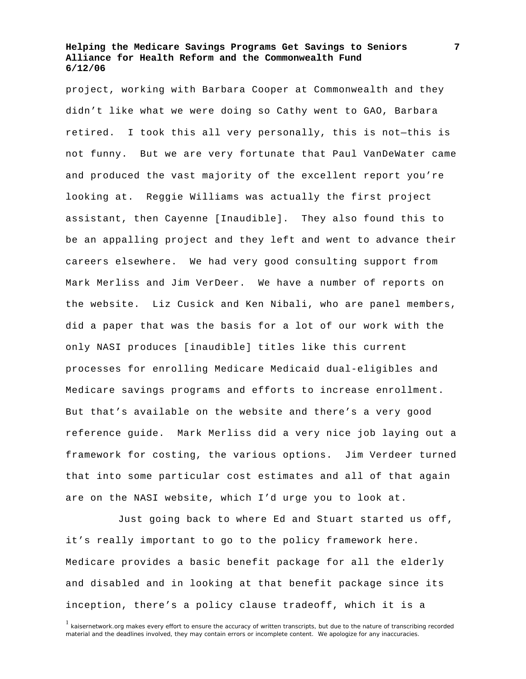project, working with Barbara Cooper at Commonwealth and they didn't like what we were doing so Cathy went to GAO, Barbara retired. I took this all very personally, this is not—this is not funny. But we are very fortunate that Paul VanDeWater came and produced the vast majority of the excellent report you're looking at. Reggie Williams was actually the first project assistant, then Cayenne [Inaudible]. They also found this to be an appalling project and they left and went to advance their careers elsewhere. We had very good consulting support from Mark Merliss and Jim VerDeer. We have a number of reports on the website. Liz Cusick and Ken Nibali, who are panel members, did a paper that was the basis for a lot of our work with the only NASI produces [inaudible] titles like this current processes for enrolling Medicare Medicaid dual-eligibles and Medicare savings programs and efforts to increase enrollment. But that's available on the website and there's a very good reference guide. Mark Merliss did a very nice job laying out a framework for costing, the various options. Jim Verdeer turned that into some particular cost estimates and all of that again are on the NASI website, which I'd urge you to look at.

 Just going back to where Ed and Stuart started us off, it's really important to go to the policy framework here. Medicare provides a basic benefit package for all the elderly and disabled and in looking at that benefit package since its inception, there's a policy clause tradeoff, which it is a

<sup>&</sup>lt;sup>1</sup> kaisernetwork.org makes every effort to ensure the accuracy of written transcripts, but due to the nature of transcribing recorded material and the deadlines involved, they may contain errors or incomplete content. We apologize for any inaccuracies.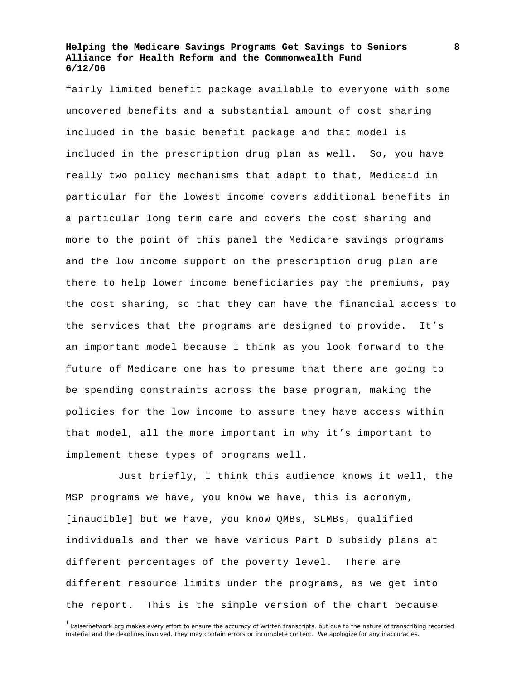fairly limited benefit package available to everyone with some uncovered benefits and a substantial amount of cost sharing included in the basic benefit package and that model is included in the prescription drug plan as well. So, you have really two policy mechanisms that adapt to that, Medicaid in particular for the lowest income covers additional benefits in a particular long term care and covers the cost sharing and more to the point of this panel the Medicare savings programs and the low income support on the prescription drug plan are there to help lower income beneficiaries pay the premiums, pay the cost sharing, so that they can have the financial access to the services that the programs are designed to provide. It's an important model because I think as you look forward to the future of Medicare one has to presume that there are going to be spending constraints across the base program, making the policies for the low income to assure they have access within that model, all the more important in why it's important to implement these types of programs well.

 Just briefly, I think this audience knows it well, the MSP programs we have, you know we have, this is acronym, [inaudible] but we have, you know QMBs, SLMBs, qualified individuals and then we have various Part D subsidy plans at different percentages of the poverty level. There are different resource limits under the programs, as we get into the report. This is the simple version of the chart because

 $1$  kaisernetwork.org makes every effort to ensure the accuracy of written transcripts, but due to the nature of transcribing recorded material and the deadlines involved, they may contain errors or incomplete content. We apologize for any inaccuracies.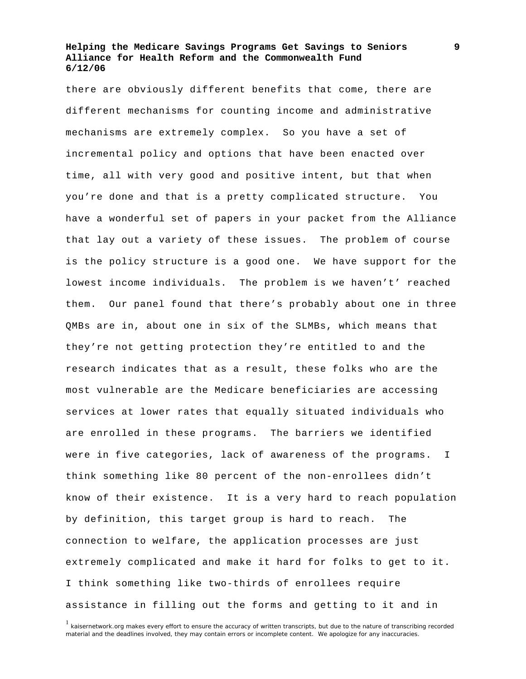there are obviously different benefits that come, there are different mechanisms for counting income and administrative mechanisms are extremely complex. So you have a set of incremental policy and options that have been enacted over time, all with very good and positive intent, but that when you're done and that is a pretty complicated structure. You have a wonderful set of papers in your packet from the Alliance that lay out a variety of these issues. The problem of course is the policy structure is a good one. We have support for the lowest income individuals. The problem is we haven't' reached them. Our panel found that there's probably about one in three QMBs are in, about one in six of the SLMBs, which means that they're not getting protection they're entitled to and the research indicates that as a result, these folks who are the most vulnerable are the Medicare beneficiaries are accessing services at lower rates that equally situated individuals who are enrolled in these programs. The barriers we identified were in five categories, lack of awareness of the programs. I think something like 80 percent of the non-enrollees didn't know of their existence. It is a very hard to reach population by definition, this target group is hard to reach. The connection to welfare, the application processes are just extremely complicated and make it hard for folks to get to it. I think something like two-thirds of enrollees require assistance in filling out the forms and getting to it and in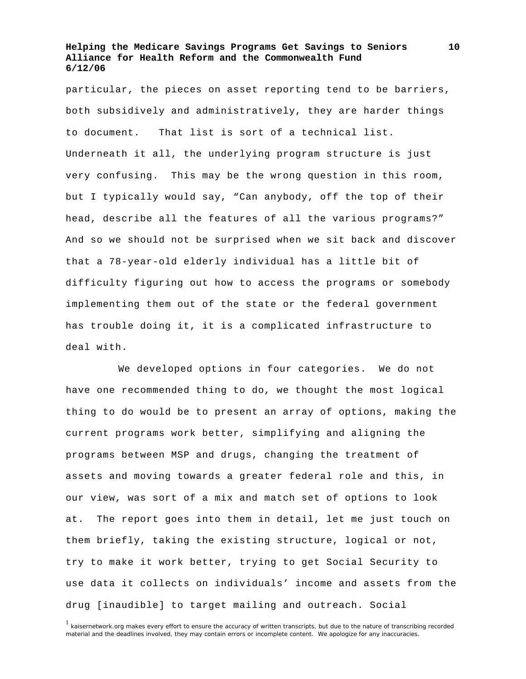particular, the pieces on asset reporting tend to be barriers, both subsidively and administratively, they are harder things to document. That list is sort of a technical list. Underneath it all, the underlying program structure is just very confusing. This may be the wrong question in this room, but I typically would say, "Can anybody, off the top of their head, describe all the features of all the various programs?" And so we should not be surprised when we sit back and discover that a 78-year-old elderly individual has a little bit of difficulty figuring out how to access the programs or somebody implementing them out of the state or the federal government has trouble doing it, it is a complicated infrastructure to deal with.

 We developed options in four categories. We do not have one recommended thing to do, we thought the most logical thing to do would be to present an array of options, making the current programs work better, simplifying and aligning the programs between MSP and drugs, changing the treatment of assets and moving towards a greater federal role and this, in our view, was sort of a mix and match set of options to look at. The report goes into them in detail, let me just touch on them briefly, taking the existing structure, logical or not, try to make it work better, trying to get Social Security to use data it collects on individuals' income and assets from the drug [inaudible] to target mailing and outreach. Social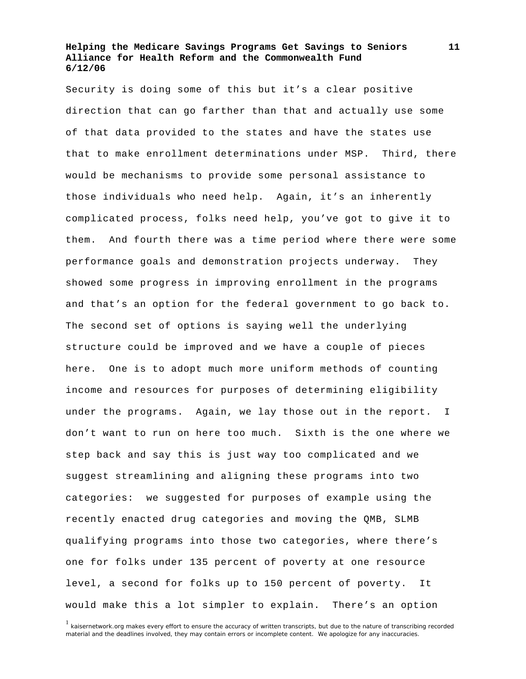Security is doing some of this but it's a clear positive direction that can go farther than that and actually use some of that data provided to the states and have the states use that to make enrollment determinations under MSP. Third, there would be mechanisms to provide some personal assistance to those individuals who need help. Again, it's an inherently complicated process, folks need help, you've got to give it to them. And fourth there was a time period where there were some performance goals and demonstration projects underway. They showed some progress in improving enrollment in the programs and that's an option for the federal government to go back to. The second set of options is saying well the underlying structure could be improved and we have a couple of pieces here. One is to adopt much more uniform methods of counting income and resources for purposes of determining eligibility under the programs. Again, we lay those out in the report. I don't want to run on here too much. Sixth is the one where we step back and say this is just way too complicated and we suggest streamlining and aligning these programs into two categories: we suggested for purposes of example using the recently enacted drug categories and moving the QMB, SLMB qualifying programs into those two categories, where there's one for folks under 135 percent of poverty at one resource level, a second for folks up to 150 percent of poverty. It would make this a lot simpler to explain. There's an option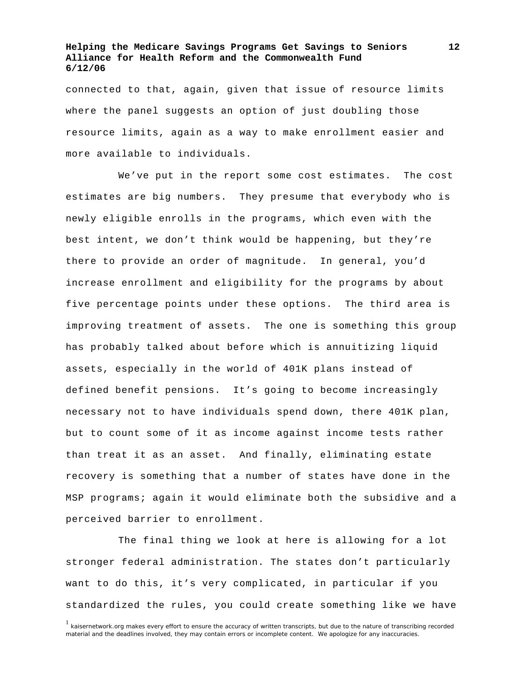connected to that, again, given that issue of resource limits where the panel suggests an option of just doubling those resource limits, again as a way to make enrollment easier and more available to individuals.

 We've put in the report some cost estimates. The cost estimates are big numbers. They presume that everybody who is newly eligible enrolls in the programs, which even with the best intent, we don't think would be happening, but they're there to provide an order of magnitude. In general, you'd increase enrollment and eligibility for the programs by about five percentage points under these options. The third area is improving treatment of assets. The one is something this group has probably talked about before which is annuitizing liquid assets, especially in the world of 401K plans instead of defined benefit pensions. It's going to become increasingly necessary not to have individuals spend down, there 401K plan, but to count some of it as income against income tests rather than treat it as an asset. And finally, eliminating estate recovery is something that a number of states have done in the MSP programs; again it would eliminate both the subsidive and a perceived barrier to enrollment.

 The final thing we look at here is allowing for a lot stronger federal administration. The states don't particularly want to do this, it's very complicated, in particular if you standardized the rules, you could create something like we have

<sup>&</sup>lt;sup>1</sup> kaisernetwork.org makes every effort to ensure the accuracy of written transcripts, but due to the nature of transcribing recorded material and the deadlines involved, they may contain errors or incomplete content. We apologize for any inaccuracies.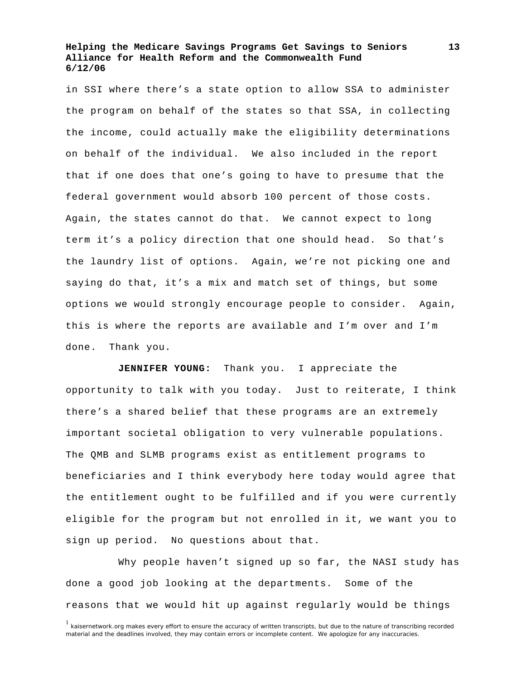in SSI where there's a state option to allow SSA to administer the program on behalf of the states so that SSA, in collecting the income, could actually make the eligibility determinations on behalf of the individual. We also included in the report that if one does that one's going to have to presume that the federal government would absorb 100 percent of those costs. Again, the states cannot do that. We cannot expect to long term it's a policy direction that one should head. So that's the laundry list of options. Again, we're not picking one and saying do that, it's a mix and match set of things, but some options we would strongly encourage people to consider. Again, this is where the reports are available and I'm over and I'm done. Thank you.

**JENNIFER YOUNG:** Thank you. I appreciate the opportunity to talk with you today. Just to reiterate, I think there's a shared belief that these programs are an extremely important societal obligation to very vulnerable populations. The QMB and SLMB programs exist as entitlement programs to beneficiaries and I think everybody here today would agree that the entitlement ought to be fulfilled and if you were currently eligible for the program but not enrolled in it, we want you to sign up period. No questions about that.

 Why people haven't signed up so far, the NASI study has done a good job looking at the departments. Some of the reasons that we would hit up against regularly would be things

<sup>&</sup>lt;sup>1</sup> kaisernetwork.org makes every effort to ensure the accuracy of written transcripts, but due to the nature of transcribing recorded material and the deadlines involved, they may contain errors or incomplete content. We apologize for any inaccuracies.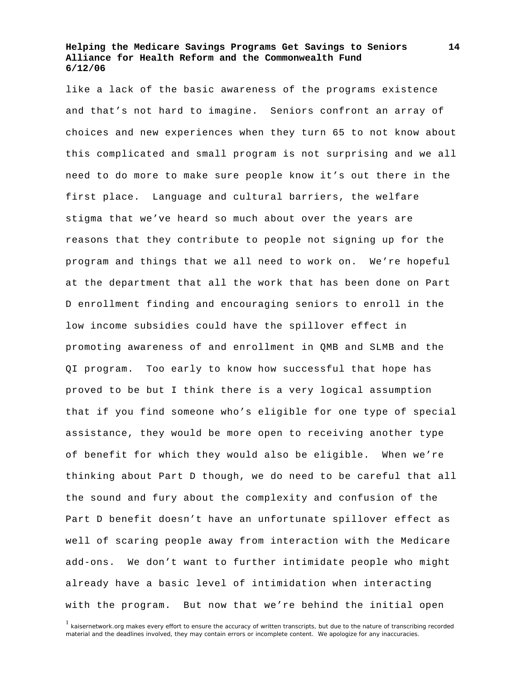like a lack of the basic awareness of the programs existence and that's not hard to imagine. Seniors confront an array of choices and new experiences when they turn 65 to not know about this complicated and small program is not surprising and we all need to do more to make sure people know it's out there in the first place. Language and cultural barriers, the welfare stigma that we've heard so much about over the years are reasons that they contribute to people not signing up for the program and things that we all need to work on. We're hopeful at the department that all the work that has been done on Part D enrollment finding and encouraging seniors to enroll in the low income subsidies could have the spillover effect in promoting awareness of and enrollment in QMB and SLMB and the QI program. Too early to know how successful that hope has proved to be but I think there is a very logical assumption that if you find someone who's eligible for one type of special assistance, they would be more open to receiving another type of benefit for which they would also be eligible. When we're thinking about Part D though, we do need to be careful that all the sound and fury about the complexity and confusion of the Part D benefit doesn't have an unfortunate spillover effect as well of scaring people away from interaction with the Medicare add-ons. We don't want to further intimidate people who might already have a basic level of intimidation when interacting with the program. But now that we're behind the initial open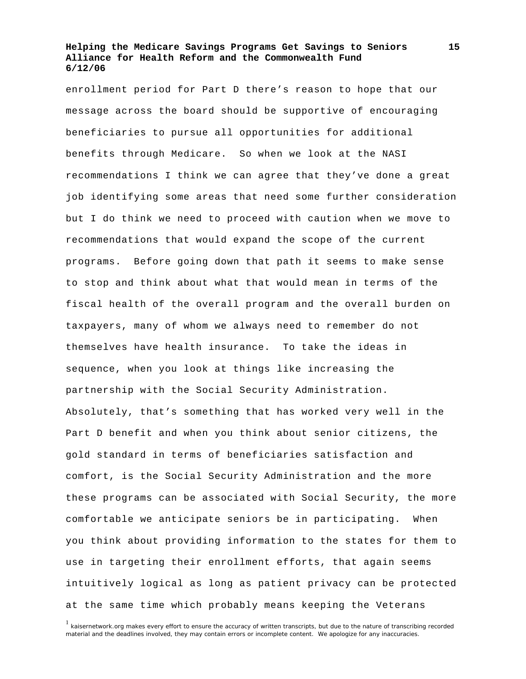enrollment period for Part D there's reason to hope that our message across the board should be supportive of encouraging beneficiaries to pursue all opportunities for additional benefits through Medicare. So when we look at the NASI recommendations I think we can agree that they've done a great job identifying some areas that need some further consideration but I do think we need to proceed with caution when we move to recommendations that would expand the scope of the current programs. Before going down that path it seems to make sense to stop and think about what that would mean in terms of the fiscal health of the overall program and the overall burden on taxpayers, many of whom we always need to remember do not themselves have health insurance. To take the ideas in sequence, when you look at things like increasing the partnership with the Social Security Administration. Absolutely, that's something that has worked very well in the Part D benefit and when you think about senior citizens, the gold standard in terms of beneficiaries satisfaction and comfort, is the Social Security Administration and the more these programs can be associated with Social Security, the more comfortable we anticipate seniors be in participating. When you think about providing information to the states for them to use in targeting their enrollment efforts, that again seems intuitively logical as long as patient privacy can be protected at the same time which probably means keeping the Veterans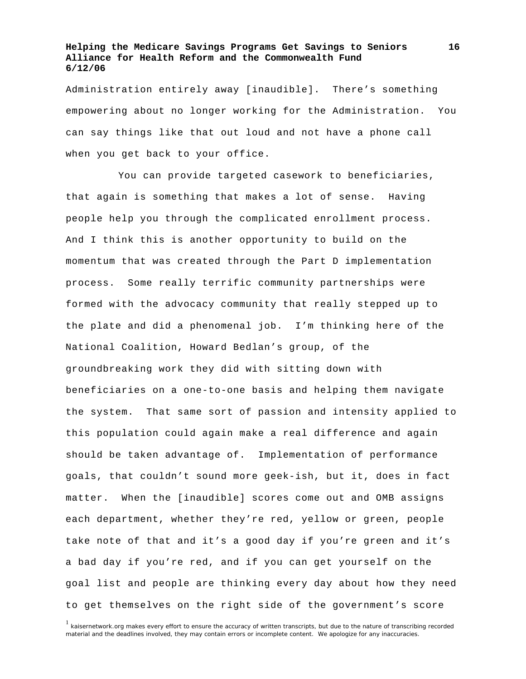Administration entirely away [inaudible]. There's something empowering about no longer working for the Administration. You can say things like that out loud and not have a phone call when you get back to your office.

 You can provide targeted casework to beneficiaries, that again is something that makes a lot of sense. Having people help you through the complicated enrollment process. And I think this is another opportunity to build on the momentum that was created through the Part D implementation process. Some really terrific community partnerships were formed with the advocacy community that really stepped up to the plate and did a phenomenal job. I'm thinking here of the National Coalition, Howard Bedlan's group, of the groundbreaking work they did with sitting down with beneficiaries on a one-to-one basis and helping them navigate the system. That same sort of passion and intensity applied to this population could again make a real difference and again should be taken advantage of. Implementation of performance goals, that couldn't sound more geek-ish, but it, does in fact matter. When the [inaudible] scores come out and OMB assigns each department, whether they're red, yellow or green, people take note of that and it's a good day if you're green and it's a bad day if you're red, and if you can get yourself on the goal list and people are thinking every day about how they need to get themselves on the right side of the government's score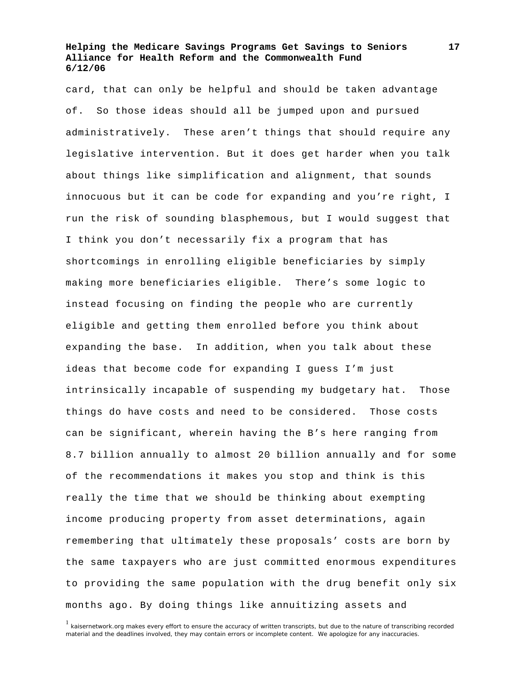card, that can only be helpful and should be taken advantage of. So those ideas should all be jumped upon and pursued administratively. These aren't things that should require any legislative intervention. But it does get harder when you talk about things like simplification and alignment, that sounds innocuous but it can be code for expanding and you're right, I run the risk of sounding blasphemous, but I would suggest that I think you don't necessarily fix a program that has shortcomings in enrolling eligible beneficiaries by simply making more beneficiaries eligible. There's some logic to instead focusing on finding the people who are currently eligible and getting them enrolled before you think about expanding the base. In addition, when you talk about these ideas that become code for expanding I guess I'm just intrinsically incapable of suspending my budgetary hat. Those things do have costs and need to be considered. Those costs can be significant, wherein having the B's here ranging from 8.7 billion annually to almost 20 billion annually and for some of the recommendations it makes you stop and think is this really the time that we should be thinking about exempting income producing property from asset determinations, again remembering that ultimately these proposals' costs are born by the same taxpayers who are just committed enormous expenditures to providing the same population with the drug benefit only six months ago. By doing things like annuitizing assets and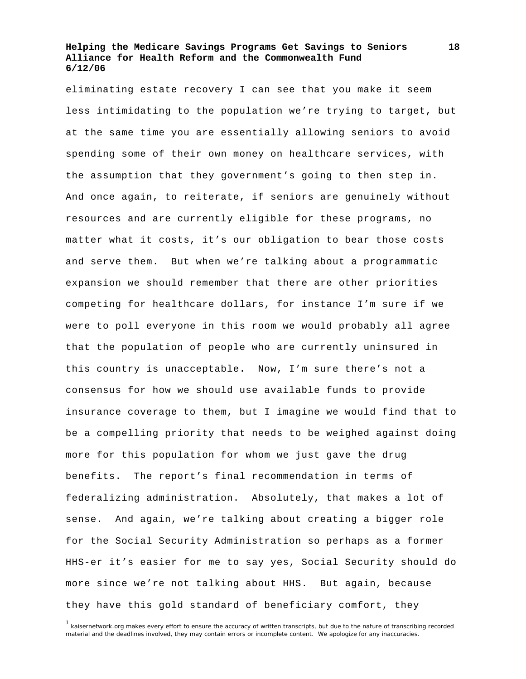eliminating estate recovery I can see that you make it seem less intimidating to the population we're trying to target, but at the same time you are essentially allowing seniors to avoid spending some of their own money on healthcare services, with the assumption that they government's going to then step in. And once again, to reiterate, if seniors are genuinely without resources and are currently eligible for these programs, no matter what it costs, it's our obligation to bear those costs and serve them. But when we're talking about a programmatic expansion we should remember that there are other priorities competing for healthcare dollars, for instance I'm sure if we were to poll everyone in this room we would probably all agree that the population of people who are currently uninsured in this country is unacceptable. Now, I'm sure there's not a consensus for how we should use available funds to provide insurance coverage to them, but I imagine we would find that to be a compelling priority that needs to be weighed against doing more for this population for whom we just gave the drug benefits. The report's final recommendation in terms of federalizing administration. Absolutely, that makes a lot of sense. And again, we're talking about creating a bigger role for the Social Security Administration so perhaps as a former HHS-er it's easier for me to say yes, Social Security should do more since we're not talking about HHS. But again, because they have this gold standard of beneficiary comfort, they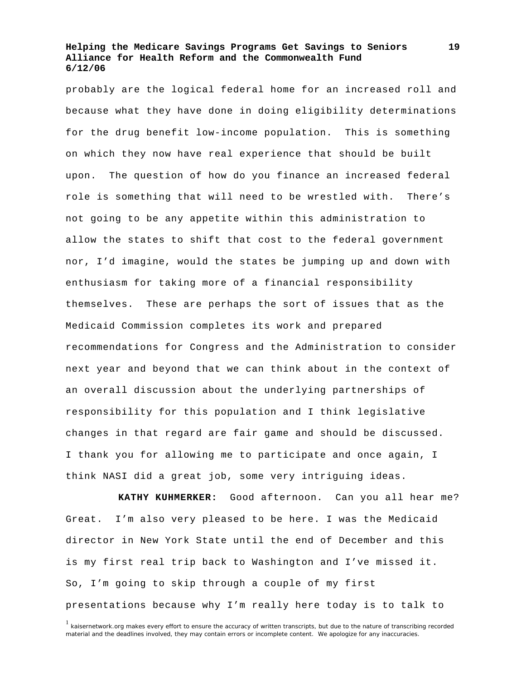probably are the logical federal home for an increased roll and because what they have done in doing eligibility determinations for the drug benefit low-income population. This is something on which they now have real experience that should be built upon. The question of how do you finance an increased federal role is something that will need to be wrestled with. There's not going to be any appetite within this administration to allow the states to shift that cost to the federal government nor, I'd imagine, would the states be jumping up and down with enthusiasm for taking more of a financial responsibility themselves. These are perhaps the sort of issues that as the Medicaid Commission completes its work and prepared recommendations for Congress and the Administration to consider next year and beyond that we can think about in the context of an overall discussion about the underlying partnerships of responsibility for this population and I think legislative changes in that regard are fair game and should be discussed. I thank you for allowing me to participate and once again, I think NASI did a great job, some very intriguing ideas.

**KATHY KUHMERKER:** Good afternoon. Can you all hear me? Great. I'm also very pleased to be here. I was the Medicaid director in New York State until the end of December and this is my first real trip back to Washington and I've missed it. So, I'm going to skip through a couple of my first presentations because why I'm really here today is to talk to

<sup>&</sup>lt;sup>1</sup> kaisernetwork.org makes every effort to ensure the accuracy of written transcripts, but due to the nature of transcribing recorded material and the deadlines involved, they may contain errors or incomplete content. We apologize for any inaccuracies.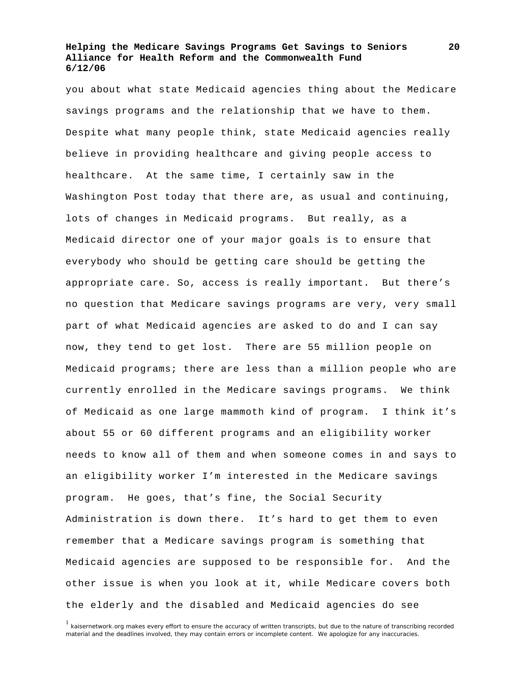you about what state Medicaid agencies thing about the Medicare savings programs and the relationship that we have to them. Despite what many people think, state Medicaid agencies really believe in providing healthcare and giving people access to healthcare. At the same time, I certainly saw in the Washington Post today that there are, as usual and continuing, lots of changes in Medicaid programs. But really, as a Medicaid director one of your major goals is to ensure that everybody who should be getting care should be getting the appropriate care. So, access is really important. But there's no question that Medicare savings programs are very, very small part of what Medicaid agencies are asked to do and I can say now, they tend to get lost. There are 55 million people on Medicaid programs; there are less than a million people who are currently enrolled in the Medicare savings programs. We think of Medicaid as one large mammoth kind of program. I think it's about 55 or 60 different programs and an eligibility worker needs to know all of them and when someone comes in and says to an eligibility worker I'm interested in the Medicare savings program. He goes, that's fine, the Social Security Administration is down there. It's hard to get them to even remember that a Medicare savings program is something that Medicaid agencies are supposed to be responsible for. And the other issue is when you look at it, while Medicare covers both the elderly and the disabled and Medicaid agencies do see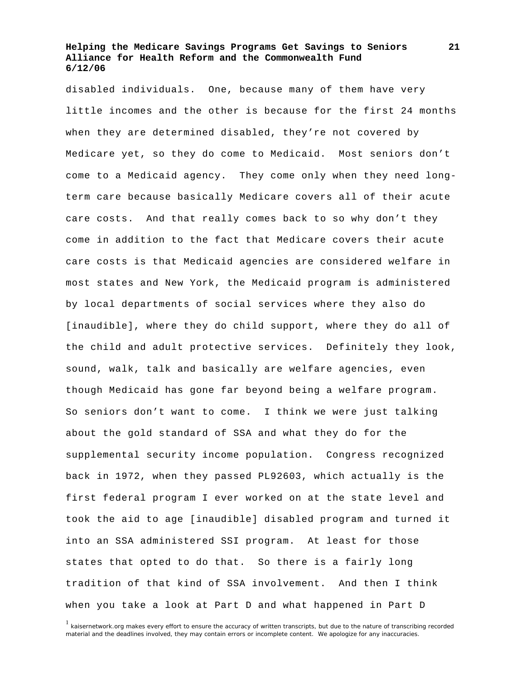disabled individuals. One, because many of them have very little incomes and the other is because for the first 24 months when they are determined disabled, they're not covered by Medicare yet, so they do come to Medicaid. Most seniors don't come to a Medicaid agency. They come only when they need longterm care because basically Medicare covers all of their acute care costs. And that really comes back to so why don't they come in addition to the fact that Medicare covers their acute care costs is that Medicaid agencies are considered welfare in most states and New York, the Medicaid program is administered by local departments of social services where they also do [inaudible], where they do child support, where they do all of the child and adult protective services. Definitely they look, sound, walk, talk and basically are welfare agencies, even though Medicaid has gone far beyond being a welfare program. So seniors don't want to come. I think we were just talking about the gold standard of SSA and what they do for the supplemental security income population. Congress recognized back in 1972, when they passed PL92603, which actually is the first federal program I ever worked on at the state level and took the aid to age [inaudible] disabled program and turned it into an SSA administered SSI program. At least for those states that opted to do that. So there is a fairly long tradition of that kind of SSA involvement. And then I think when you take a look at Part D and what happened in Part D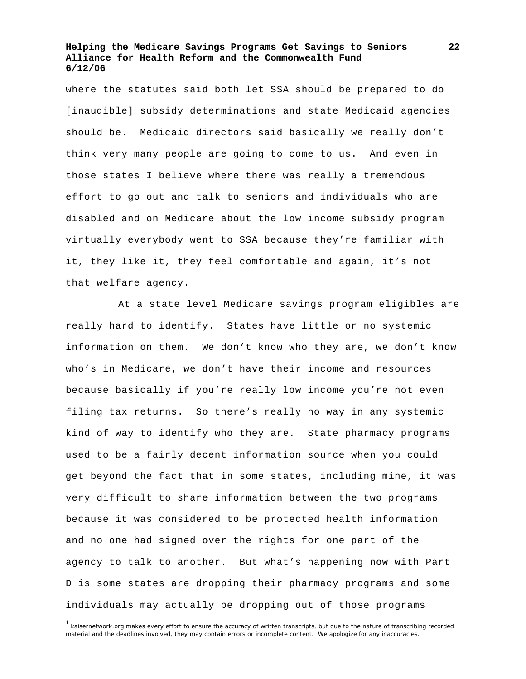where the statutes said both let SSA should be prepared to do [inaudible] subsidy determinations and state Medicaid agencies should be. Medicaid directors said basically we really don't think very many people are going to come to us. And even in those states I believe where there was really a tremendous effort to go out and talk to seniors and individuals who are disabled and on Medicare about the low income subsidy program virtually everybody went to SSA because they're familiar with it, they like it, they feel comfortable and again, it's not that welfare agency.

 At a state level Medicare savings program eligibles are really hard to identify. States have little or no systemic information on them. We don't know who they are, we don't know who's in Medicare, we don't have their income and resources because basically if you're really low income you're not even filing tax returns. So there's really no way in any systemic kind of way to identify who they are. State pharmacy programs used to be a fairly decent information source when you could get beyond the fact that in some states, including mine, it was very difficult to share information between the two programs because it was considered to be protected health information and no one had signed over the rights for one part of the agency to talk to another. But what's happening now with Part D is some states are dropping their pharmacy programs and some individuals may actually be dropping out of those programs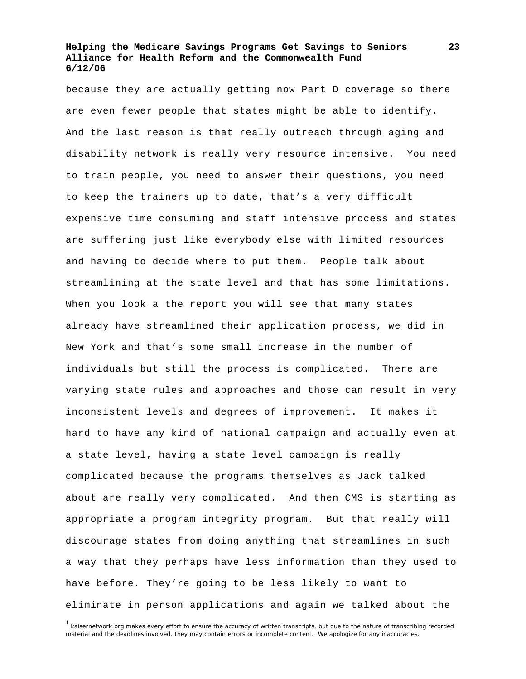because they are actually getting now Part D coverage so there are even fewer people that states might be able to identify. And the last reason is that really outreach through aging and disability network is really very resource intensive. You need to train people, you need to answer their questions, you need to keep the trainers up to date, that's a very difficult expensive time consuming and staff intensive process and states are suffering just like everybody else with limited resources and having to decide where to put them. People talk about streamlining at the state level and that has some limitations. When you look a the report you will see that many states already have streamlined their application process, we did in New York and that's some small increase in the number of individuals but still the process is complicated. There are varying state rules and approaches and those can result in very inconsistent levels and degrees of improvement. It makes it hard to have any kind of national campaign and actually even at a state level, having a state level campaign is really complicated because the programs themselves as Jack talked about are really very complicated. And then CMS is starting as appropriate a program integrity program. But that really will discourage states from doing anything that streamlines in such a way that they perhaps have less information than they used to have before. They're going to be less likely to want to eliminate in person applications and again we talked about the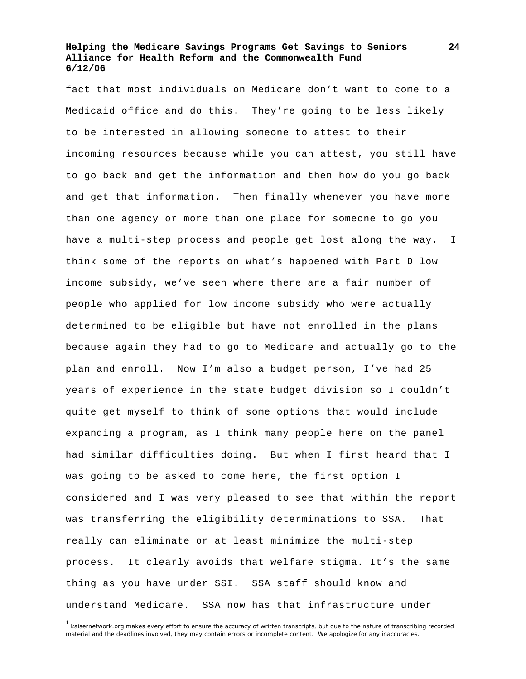fact that most individuals on Medicare don't want to come to a Medicaid office and do this. They're going to be less likely to be interested in allowing someone to attest to their incoming resources because while you can attest, you still have to go back and get the information and then how do you go back and get that information. Then finally whenever you have more than one agency or more than one place for someone to go you have a multi-step process and people get lost along the way. I think some of the reports on what's happened with Part D low income subsidy, we've seen where there are a fair number of people who applied for low income subsidy who were actually determined to be eligible but have not enrolled in the plans because again they had to go to Medicare and actually go to the plan and enroll. Now I'm also a budget person, I've had 25 years of experience in the state budget division so I couldn't quite get myself to think of some options that would include expanding a program, as I think many people here on the panel had similar difficulties doing. But when I first heard that I was going to be asked to come here, the first option I considered and I was very pleased to see that within the report was transferring the eligibility determinations to SSA. That really can eliminate or at least minimize the multi-step process. It clearly avoids that welfare stigma. It's the same thing as you have under SSI. SSA staff should know and understand Medicare. SSA now has that infrastructure under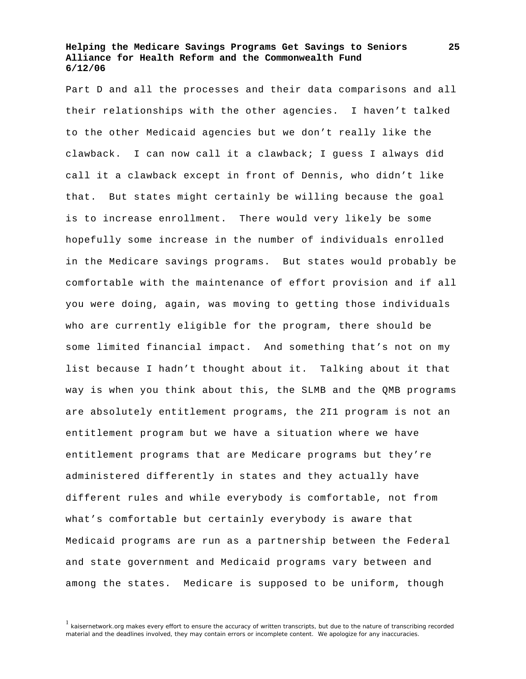Part D and all the processes and their data comparisons and all their relationships with the other agencies. I haven't talked to the other Medicaid agencies but we don't really like the clawback. I can now call it a clawback; I guess I always did call it a clawback except in front of Dennis, who didn't like that. But states might certainly be willing because the goal is to increase enrollment. There would very likely be some hopefully some increase in the number of individuals enrolled in the Medicare savings programs. But states would probably be comfortable with the maintenance of effort provision and if all you were doing, again, was moving to getting those individuals who are currently eligible for the program, there should be some limited financial impact. And something that's not on my list because I hadn't thought about it. Talking about it that way is when you think about this, the SLMB and the QMB programs are absolutely entitlement programs, the 2I1 program is not an entitlement program but we have a situation where we have entitlement programs that are Medicare programs but they're administered differently in states and they actually have different rules and while everybody is comfortable, not from what's comfortable but certainly everybody is aware that Medicaid programs are run as a partnership between the Federal and state government and Medicaid programs vary between and among the states. Medicare is supposed to be uniform, though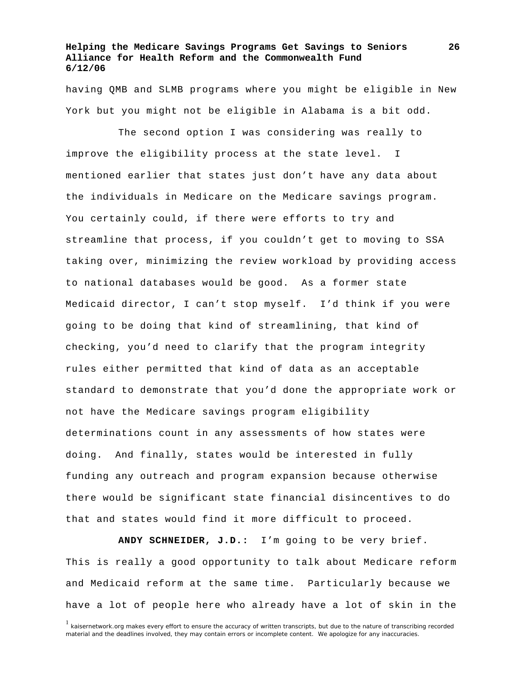having QMB and SLMB programs where you might be eligible in New York but you might not be eligible in Alabama is a bit odd.

 The second option I was considering was really to improve the eligibility process at the state level. I mentioned earlier that states just don't have any data about the individuals in Medicare on the Medicare savings program. You certainly could, if there were efforts to try and streamline that process, if you couldn't get to moving to SSA taking over, minimizing the review workload by providing access to national databases would be good. As a former state Medicaid director, I can't stop myself. I'd think if you were going to be doing that kind of streamlining, that kind of checking, you'd need to clarify that the program integrity rules either permitted that kind of data as an acceptable standard to demonstrate that you'd done the appropriate work or not have the Medicare savings program eligibility determinations count in any assessments of how states were doing. And finally, states would be interested in fully funding any outreach and program expansion because otherwise there would be significant state financial disincentives to do that and states would find it more difficult to proceed.

**ANDY SCHNEIDER, J.D.:** I'm going to be very brief. This is really a good opportunity to talk about Medicare reform and Medicaid reform at the same time. Particularly because we have a lot of people here who already have a lot of skin in the

<sup>&</sup>lt;sup>1</sup> kaisernetwork.org makes every effort to ensure the accuracy of written transcripts, but due to the nature of transcribing recorded material and the deadlines involved, they may contain errors or incomplete content. We apologize for any inaccuracies.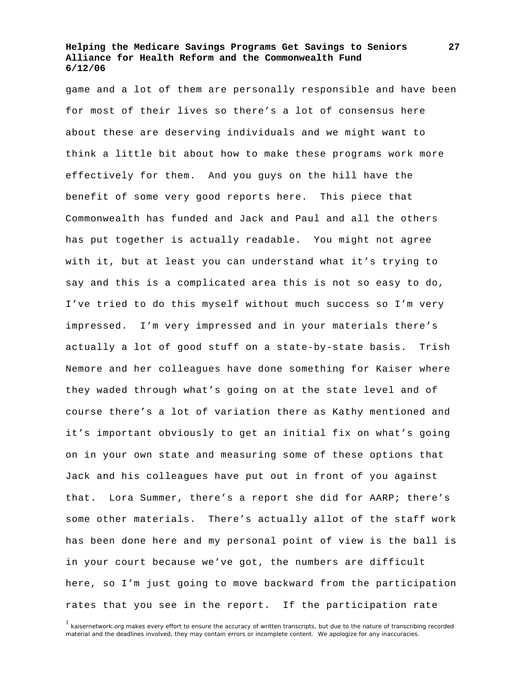game and a lot of them are personally responsible and have been for most of their lives so there's a lot of consensus here about these are deserving individuals and we might want to think a little bit about how to make these programs work more effectively for them. And you guys on the hill have the benefit of some very good reports here. This piece that Commonwealth has funded and Jack and Paul and all the others has put together is actually readable. You might not agree with it, but at least you can understand what it's trying to say and this is a complicated area this is not so easy to do, I've tried to do this myself without much success so I'm very impressed. I'm very impressed and in your materials there's actually a lot of good stuff on a state-by-state basis. Trish Nemore and her colleagues have done something for Kaiser where they waded through what's going on at the state level and of course there's a lot of variation there as Kathy mentioned and it's important obviously to get an initial fix on what's going on in your own state and measuring some of these options that Jack and his colleagues have put out in front of you against that. Lora Summer, there's a report she did for AARP; there's some other materials. There's actually allot of the staff work has been done here and my personal point of view is the ball is in your court because we've got, the numbers are difficult here, so I'm just going to move backward from the participation rates that you see in the report. If the participation rate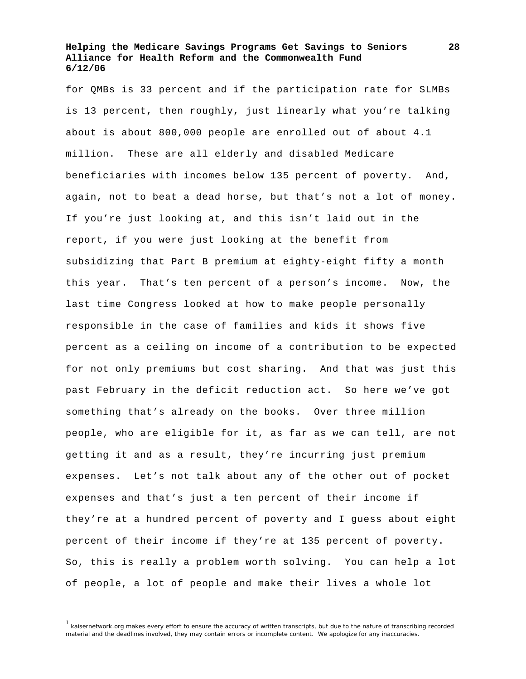for QMBs is 33 percent and if the participation rate for SLMBs is 13 percent, then roughly, just linearly what you're talking about is about 800,000 people are enrolled out of about 4.1 million. These are all elderly and disabled Medicare beneficiaries with incomes below 135 percent of poverty. And, again, not to beat a dead horse, but that's not a lot of money. If you're just looking at, and this isn't laid out in the report, if you were just looking at the benefit from subsidizing that Part B premium at eighty-eight fifty a month this year. That's ten percent of a person's income. Now, the last time Congress looked at how to make people personally responsible in the case of families and kids it shows five percent as a ceiling on income of a contribution to be expected for not only premiums but cost sharing. And that was just this past February in the deficit reduction act. So here we've got something that's already on the books. Over three million people, who are eligible for it, as far as we can tell, are not getting it and as a result, they're incurring just premium expenses. Let's not talk about any of the other out of pocket expenses and that's just a ten percent of their income if they're at a hundred percent of poverty and I guess about eight percent of their income if they're at 135 percent of poverty. So, this is really a problem worth solving. You can help a lot of people, a lot of people and make their lives a whole lot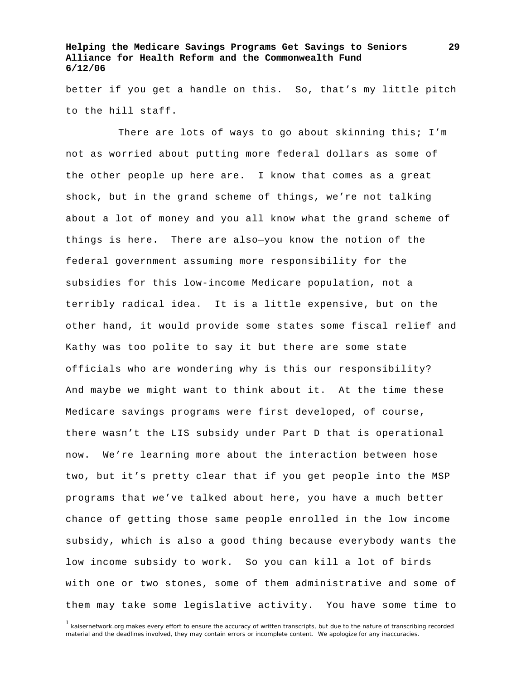better if you get a handle on this. So, that's my little pitch to the hill staff.

There are lots of ways to go about skinning this; I'm not as worried about putting more federal dollars as some of the other people up here are. I know that comes as a great shock, but in the grand scheme of things, we're not talking about a lot of money and you all know what the grand scheme of things is here. There are also—you know the notion of the federal government assuming more responsibility for the subsidies for this low-income Medicare population, not a terribly radical idea. It is a little expensive, but on the other hand, it would provide some states some fiscal relief and Kathy was too polite to say it but there are some state officials who are wondering why is this our responsibility? And maybe we might want to think about it. At the time these Medicare savings programs were first developed, of course, there wasn't the LIS subsidy under Part D that is operational now. We're learning more about the interaction between hose two, but it's pretty clear that if you get people into the MSP programs that we've talked about here, you have a much better chance of getting those same people enrolled in the low income subsidy, which is also a good thing because everybody wants the low income subsidy to work. So you can kill a lot of birds with one or two stones, some of them administrative and some of them may take some legislative activity. You have some time to

<sup>1</sup> kaisernetwork.org makes every effort to ensure the accuracy of written transcripts, but due to the nature of transcribing recorded material and the deadlines involved, they may contain errors or incomplete content. We apologize for any inaccuracies.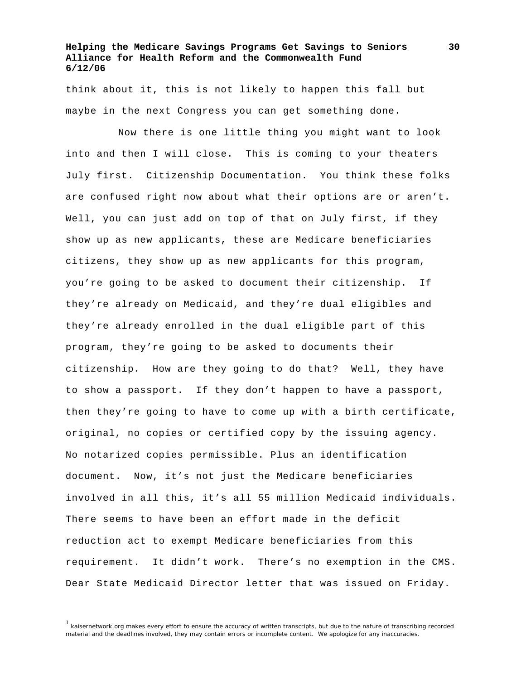think about it, this is not likely to happen this fall but maybe in the next Congress you can get something done.

 Now there is one little thing you might want to look into and then I will close. This is coming to your theaters July first. Citizenship Documentation. You think these folks are confused right now about what their options are or aren't. Well, you can just add on top of that on July first, if they show up as new applicants, these are Medicare beneficiaries citizens, they show up as new applicants for this program, you're going to be asked to document their citizenship. If they're already on Medicaid, and they're dual eligibles and they're already enrolled in the dual eligible part of this program, they're going to be asked to documents their citizenship. How are they going to do that? Well, they have to show a passport. If they don't happen to have a passport, then they're going to have to come up with a birth certificate, original, no copies or certified copy by the issuing agency. No notarized copies permissible. Plus an identification document. Now, it's not just the Medicare beneficiaries involved in all this, it's all 55 million Medicaid individuals. There seems to have been an effort made in the deficit reduction act to exempt Medicare beneficiaries from this requirement. It didn't work. There's no exemption in the CMS. Dear State Medicaid Director letter that was issued on Friday.

<sup>&</sup>lt;sup>1</sup> kaisernetwork.org makes every effort to ensure the accuracy of written transcripts, but due to the nature of transcribing recorded material and the deadlines involved, they may contain errors or incomplete content. We apologize for any inaccuracies.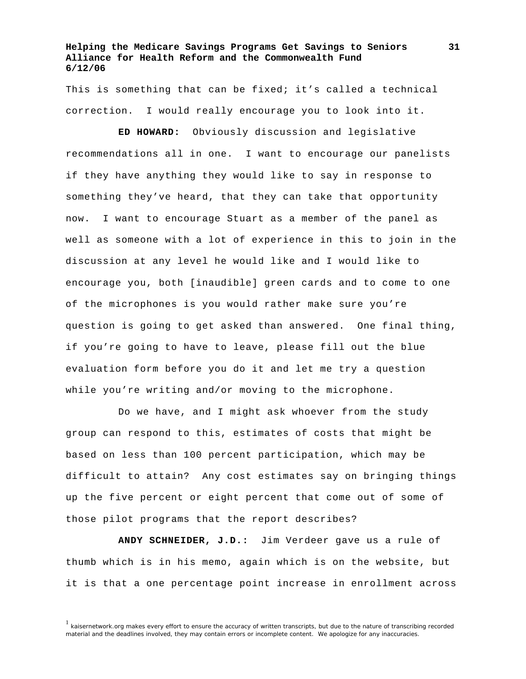This is something that can be fixed; it's called a technical correction. I would really encourage you to look into it.

**ED HOWARD:** Obviously discussion and legislative recommendations all in one. I want to encourage our panelists if they have anything they would like to say in response to something they've heard, that they can take that opportunity now. I want to encourage Stuart as a member of the panel as well as someone with a lot of experience in this to join in the discussion at any level he would like and I would like to encourage you, both [inaudible] green cards and to come to one of the microphones is you would rather make sure you're question is going to get asked than answered. One final thing, if you're going to have to leave, please fill out the blue evaluation form before you do it and let me try a question while you're writing and/or moving to the microphone.

 Do we have, and I might ask whoever from the study group can respond to this, estimates of costs that might be based on less than 100 percent participation, which may be difficult to attain? Any cost estimates say on bringing things up the five percent or eight percent that come out of some of those pilot programs that the report describes?

**ANDY SCHNEIDER, J.D.:** Jim Verdeer gave us a rule of thumb which is in his memo, again which is on the website, but it is that a one percentage point increase in enrollment across

<sup>&</sup>lt;sup>1</sup> kaisernetwork.org makes every effort to ensure the accuracy of written transcripts, but due to the nature of transcribing recorded material and the deadlines involved, they may contain errors or incomplete content. We apologize for any inaccuracies.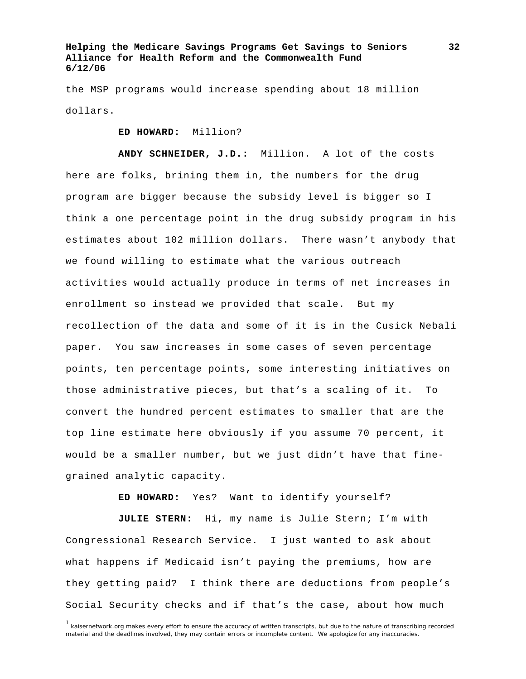the MSP programs would increase spending about 18 million dollars.

**ED HOWARD:** Million?

**ANDY SCHNEIDER, J.D.:** Million. A lot of the costs here are folks, brining them in, the numbers for the drug program are bigger because the subsidy level is bigger so I think a one percentage point in the drug subsidy program in his estimates about 102 million dollars. There wasn't anybody that we found willing to estimate what the various outreach activities would actually produce in terms of net increases in enrollment so instead we provided that scale. But my recollection of the data and some of it is in the Cusick Nebali paper. You saw increases in some cases of seven percentage points, ten percentage points, some interesting initiatives on those administrative pieces, but that's a scaling of it. To convert the hundred percent estimates to smaller that are the top line estimate here obviously if you assume 70 percent, it would be a smaller number, but we just didn't have that finegrained analytic capacity.

**ED HOWARD:** Yes? Want to identify yourself?

**JULIE STERN:** Hi, my name is Julie Stern; I'm with Congressional Research Service. I just wanted to ask about what happens if Medicaid isn't paying the premiums, how are they getting paid? I think there are deductions from people's Social Security checks and if that's the case, about how much

<sup>&</sup>lt;sup>1</sup> kaisernetwork.org makes every effort to ensure the accuracy of written transcripts, but due to the nature of transcribing recorded material and the deadlines involved, they may contain errors or incomplete content. We apologize for any inaccuracies.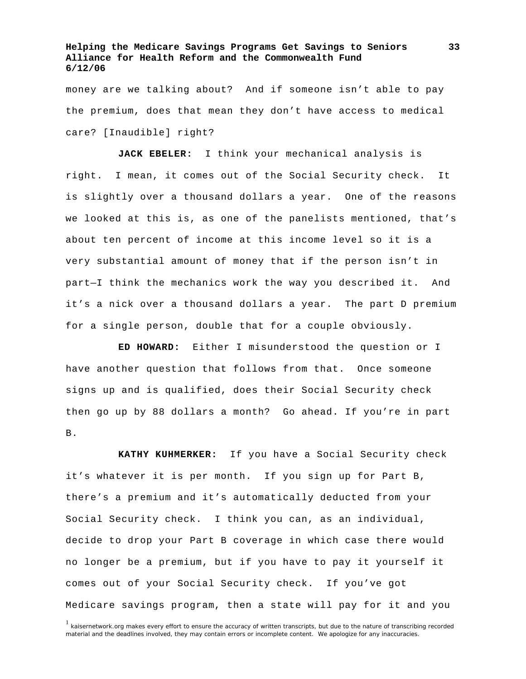money are we talking about? And if someone isn't able to pay the premium, does that mean they don't have access to medical care? [Inaudible] right?

**JACK EBELER:** I think your mechanical analysis is right. I mean, it comes out of the Social Security check. It is slightly over a thousand dollars a year. One of the reasons we looked at this is, as one of the panelists mentioned, that's about ten percent of income at this income level so it is a very substantial amount of money that if the person isn't in part—I think the mechanics work the way you described it. And it's a nick over a thousand dollars a year. The part D premium for a single person, double that for a couple obviously.

**ED HOWARD:** Either I misunderstood the question or I have another question that follows from that. Once someone signs up and is qualified, does their Social Security check then go up by 88 dollars a month? Go ahead. If you're in part B.

**KATHY KUHMERKER:** If you have a Social Security check it's whatever it is per month. If you sign up for Part B, there's a premium and it's automatically deducted from your Social Security check. I think you can, as an individual, decide to drop your Part B coverage in which case there would no longer be a premium, but if you have to pay it yourself it comes out of your Social Security check. If you've got Medicare savings program, then a state will pay for it and you

<sup>&</sup>lt;sup>1</sup> kaisernetwork.org makes every effort to ensure the accuracy of written transcripts, but due to the nature of transcribing recorded material and the deadlines involved, they may contain errors or incomplete content. We apologize for any inaccuracies.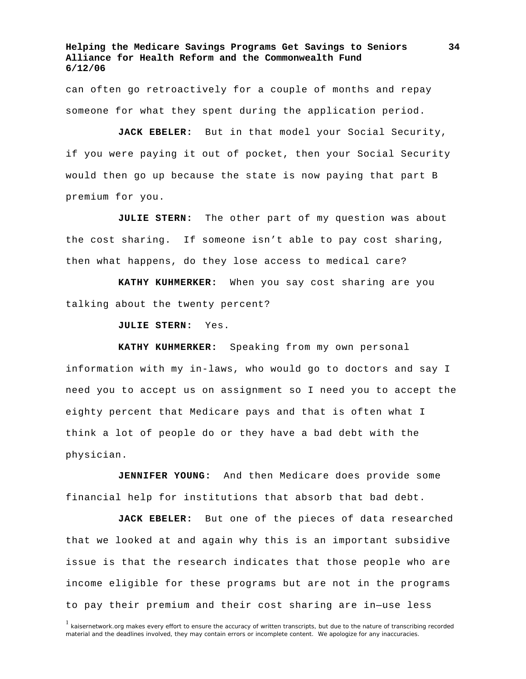can often go retroactively for a couple of months and repay someone for what they spent during the application period.

**JACK EBELER:** But in that model your Social Security, if you were paying it out of pocket, then your Social Security would then go up because the state is now paying that part B premium for you.

**JULIE STERN:** The other part of my question was about the cost sharing. If someone isn't able to pay cost sharing, then what happens, do they lose access to medical care?

**KATHY KUHMERKER:** When you say cost sharing are you talking about the twenty percent?

**JULIE STERN:** Yes.

**KATHY KUHMERKER:** Speaking from my own personal information with my in-laws, who would go to doctors and say I need you to accept us on assignment so I need you to accept the eighty percent that Medicare pays and that is often what I think a lot of people do or they have a bad debt with the physician.

**JENNIFER YOUNG:** And then Medicare does provide some financial help for institutions that absorb that bad debt.

**JACK EBELER:** But one of the pieces of data researched that we looked at and again why this is an important subsidive issue is that the research indicates that those people who are income eligible for these programs but are not in the programs to pay their premium and their cost sharing are in—use less

<sup>&</sup>lt;sup>1</sup> kaisernetwork.org makes every effort to ensure the accuracy of written transcripts, but due to the nature of transcribing recorded material and the deadlines involved, they may contain errors or incomplete content. We apologize for any inaccuracies.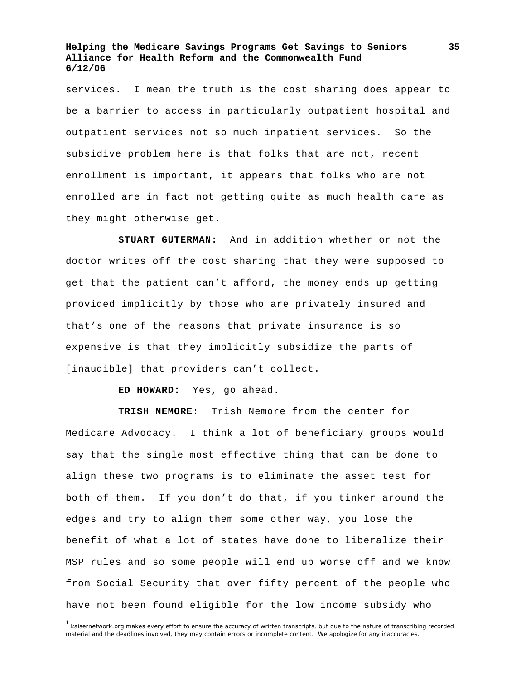services. I mean the truth is the cost sharing does appear to be a barrier to access in particularly outpatient hospital and outpatient services not so much inpatient services. So the subsidive problem here is that folks that are not, recent enrollment is important, it appears that folks who are not enrolled are in fact not getting quite as much health care as they might otherwise get.

**STUART GUTERMAN:** And in addition whether or not the doctor writes off the cost sharing that they were supposed to get that the patient can't afford, the money ends up getting provided implicitly by those who are privately insured and that's one of the reasons that private insurance is so expensive is that they implicitly subsidize the parts of [inaudible] that providers can't collect.

**ED HOWARD:** Yes, go ahead.

**TRISH NEMORE:** Trish Nemore from the center for Medicare Advocacy. I think a lot of beneficiary groups would say that the single most effective thing that can be done to align these two programs is to eliminate the asset test for both of them. If you don't do that, if you tinker around the edges and try to align them some other way, you lose the benefit of what a lot of states have done to liberalize their MSP rules and so some people will end up worse off and we know from Social Security that over fifty percent of the people who have not been found eligible for the low income subsidy who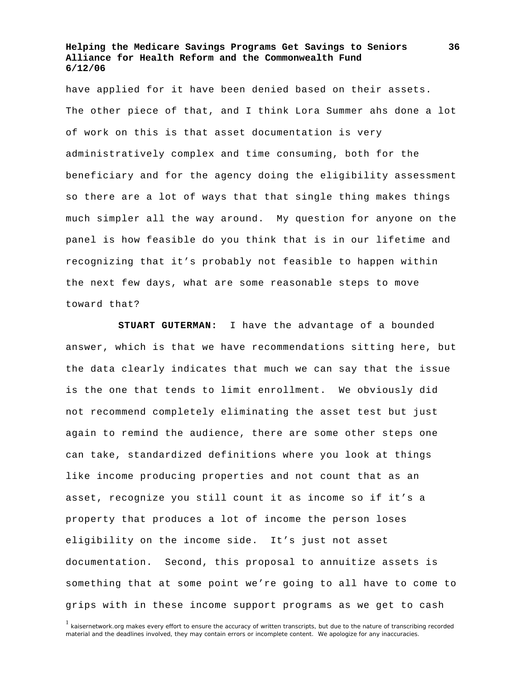have applied for it have been denied based on their assets. The other piece of that, and I think Lora Summer ahs done a lot of work on this is that asset documentation is very administratively complex and time consuming, both for the beneficiary and for the agency doing the eligibility assessment so there are a lot of ways that that single thing makes things much simpler all the way around. My question for anyone on the panel is how feasible do you think that is in our lifetime and recognizing that it's probably not feasible to happen within the next few days, what are some reasonable steps to move toward that?

**STUART GUTERMAN:** I have the advantage of a bounded answer, which is that we have recommendations sitting here, but the data clearly indicates that much we can say that the issue is the one that tends to limit enrollment. We obviously did not recommend completely eliminating the asset test but just again to remind the audience, there are some other steps one can take, standardized definitions where you look at things like income producing properties and not count that as an asset, recognize you still count it as income so if it's a property that produces a lot of income the person loses eligibility on the income side. It's just not asset documentation. Second, this proposal to annuitize assets is something that at some point we're going to all have to come to grips with in these income support programs as we get to cash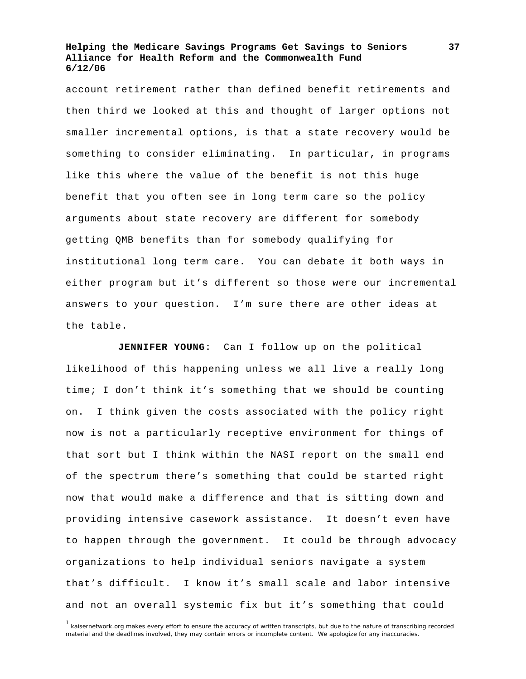account retirement rather than defined benefit retirements and then third we looked at this and thought of larger options not smaller incremental options, is that a state recovery would be something to consider eliminating. In particular, in programs like this where the value of the benefit is not this huge benefit that you often see in long term care so the policy arguments about state recovery are different for somebody getting QMB benefits than for somebody qualifying for institutional long term care. You can debate it both ways in either program but it's different so those were our incremental answers to your question. I'm sure there are other ideas at the table.

**JENNIFER YOUNG:** Can I follow up on the political likelihood of this happening unless we all live a really long time; I don't think it's something that we should be counting on. I think given the costs associated with the policy right now is not a particularly receptive environment for things of that sort but I think within the NASI report on the small end of the spectrum there's something that could be started right now that would make a difference and that is sitting down and providing intensive casework assistance. It doesn't even have to happen through the government. It could be through advocacy organizations to help individual seniors navigate a system that's difficult. I know it's small scale and labor intensive and not an overall systemic fix but it's something that could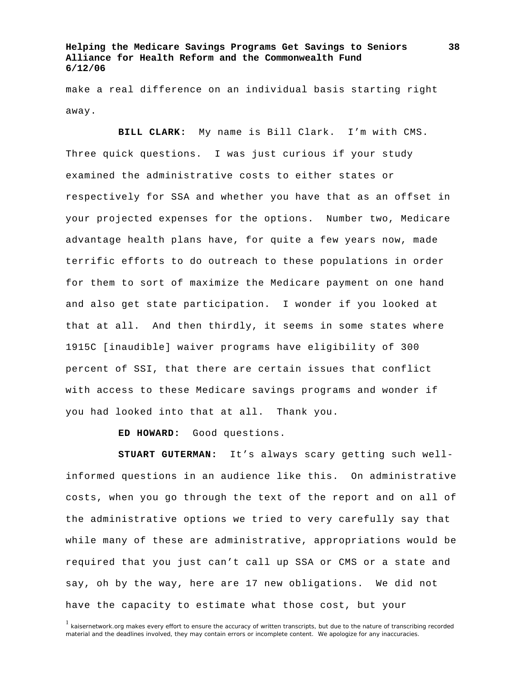make a real difference on an individual basis starting right away.

**BILL CLARK:** My name is Bill Clark. I'm with CMS. Three quick questions. I was just curious if your study examined the administrative costs to either states or respectively for SSA and whether you have that as an offset in your projected expenses for the options. Number two, Medicare advantage health plans have, for quite a few years now, made terrific efforts to do outreach to these populations in order for them to sort of maximize the Medicare payment on one hand and also get state participation. I wonder if you looked at that at all. And then thirdly, it seems in some states where 1915C [inaudible] waiver programs have eligibility of 300 percent of SSI, that there are certain issues that conflict with access to these Medicare savings programs and wonder if you had looked into that at all. Thank you.

**ED HOWARD:** Good questions.

**STUART GUTERMAN:** It's always scary getting such wellinformed questions in an audience like this. On administrative costs, when you go through the text of the report and on all of the administrative options we tried to very carefully say that while many of these are administrative, appropriations would be required that you just can't call up SSA or CMS or a state and say, oh by the way, here are 17 new obligations. We did not have the capacity to estimate what those cost, but your

<sup>&</sup>lt;sup>1</sup> kaisernetwork.org makes every effort to ensure the accuracy of written transcripts, but due to the nature of transcribing recorded material and the deadlines involved, they may contain errors or incomplete content. We apologize for any inaccuracies.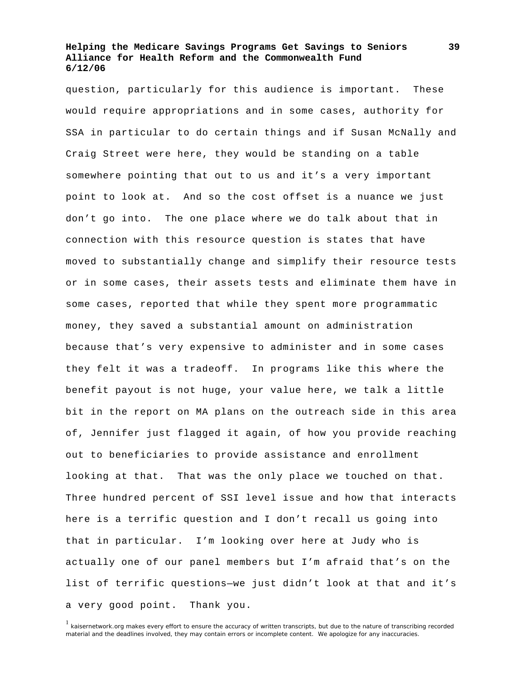question, particularly for this audience is important. These would require appropriations and in some cases, authority for SSA in particular to do certain things and if Susan McNally and Craig Street were here, they would be standing on a table somewhere pointing that out to us and it's a very important point to look at. And so the cost offset is a nuance we just don't go into. The one place where we do talk about that in connection with this resource question is states that have moved to substantially change and simplify their resource tests or in some cases, their assets tests and eliminate them have in some cases, reported that while they spent more programmatic money, they saved a substantial amount on administration because that's very expensive to administer and in some cases they felt it was a tradeoff. In programs like this where the benefit payout is not huge, your value here, we talk a little bit in the report on MA plans on the outreach side in this area of, Jennifer just flagged it again, of how you provide reaching out to beneficiaries to provide assistance and enrollment looking at that. That was the only place we touched on that. Three hundred percent of SSI level issue and how that interacts here is a terrific question and I don't recall us going into that in particular. I'm looking over here at Judy who is actually one of our panel members but I'm afraid that's on the list of terrific questions—we just didn't look at that and it's a very good point. Thank you.

<sup>&</sup>lt;sup>1</sup> kaisernetwork.org makes every effort to ensure the accuracy of written transcripts, but due to the nature of transcribing recorded material and the deadlines involved, they may contain errors or incomplete content. We apologize for any inaccuracies.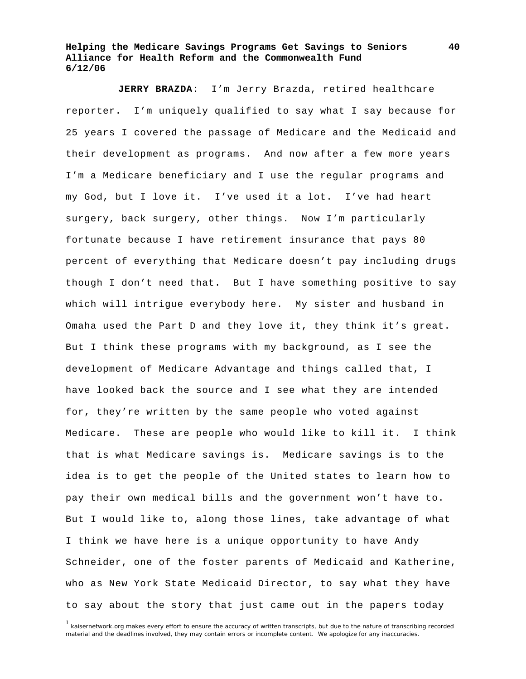**JERRY BRAZDA:** I'm Jerry Brazda, retired healthcare reporter. I'm uniquely qualified to say what I say because for 25 years I covered the passage of Medicare and the Medicaid and their development as programs. And now after a few more years I'm a Medicare beneficiary and I use the regular programs and my God, but I love it. I've used it a lot. I've had heart surgery, back surgery, other things. Now I'm particularly fortunate because I have retirement insurance that pays 80 percent of everything that Medicare doesn't pay including drugs though I don't need that. But I have something positive to say which will intrigue everybody here. My sister and husband in Omaha used the Part D and they love it, they think it's great. But I think these programs with my background, as I see the development of Medicare Advantage and things called that, I have looked back the source and I see what they are intended for, they're written by the same people who voted against Medicare. These are people who would like to kill it. I think that is what Medicare savings is. Medicare savings is to the idea is to get the people of the United states to learn how to pay their own medical bills and the government won't have to. But I would like to, along those lines, take advantage of what I think we have here is a unique opportunity to have Andy Schneider, one of the foster parents of Medicaid and Katherine, who as New York State Medicaid Director, to say what they have to say about the story that just came out in the papers today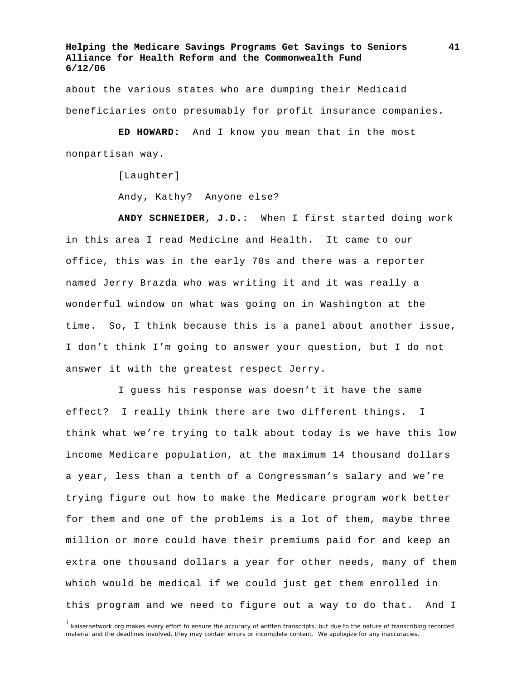about the various states who are dumping their Medicaid beneficiaries onto presumably for profit insurance companies.

**ED HOWARD:** And I know you mean that in the most nonpartisan way.

[Laughter]

Andy, Kathy? Anyone else?

**ANDY SCHNEIDER, J.D.:** When I first started doing work in this area I read Medicine and Health. It came to our office, this was in the early 70s and there was a reporter named Jerry Brazda who was writing it and it was really a wonderful window on what was going on in Washington at the time. So, I think because this is a panel about another issue, I don't think I'm going to answer your question, but I do not answer it with the greatest respect Jerry.

 I guess his response was doesn't it have the same effect? I really think there are two different things. I think what we're trying to talk about today is we have this low income Medicare population, at the maximum 14 thousand dollars a year, less than a tenth of a Congressman's salary and we're trying figure out how to make the Medicare program work better for them and one of the problems is a lot of them, maybe three million or more could have their premiums paid for and keep an extra one thousand dollars a year for other needs, many of them which would be medical if we could just get them enrolled in this program and we need to figure out a way to do that. And I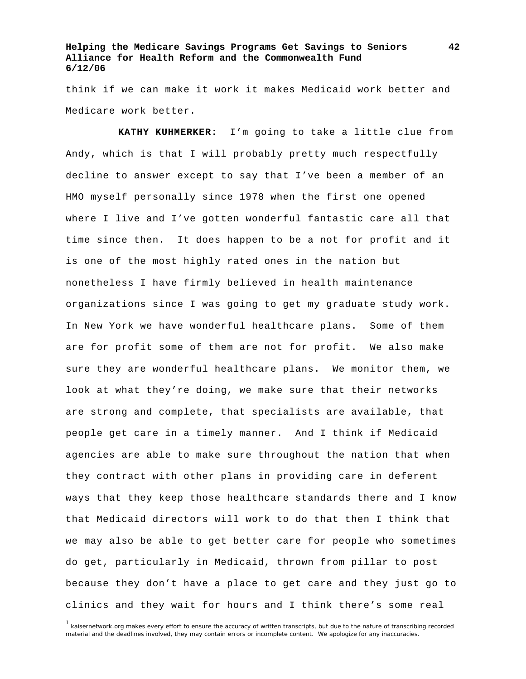think if we can make it work it makes Medicaid work better and Medicare work better.

**KATHY KUHMERKER:** I'm going to take a little clue from Andy, which is that I will probably pretty much respectfully decline to answer except to say that I've been a member of an HMO myself personally since 1978 when the first one opened where I live and I've gotten wonderful fantastic care all that time since then. It does happen to be a not for profit and it is one of the most highly rated ones in the nation but nonetheless I have firmly believed in health maintenance organizations since I was going to get my graduate study work. In New York we have wonderful healthcare plans. Some of them are for profit some of them are not for profit. We also make sure they are wonderful healthcare plans. We monitor them, we look at what they're doing, we make sure that their networks are strong and complete, that specialists are available, that people get care in a timely manner. And I think if Medicaid agencies are able to make sure throughout the nation that when they contract with other plans in providing care in deferent ways that they keep those healthcare standards there and I know that Medicaid directors will work to do that then I think that we may also be able to get better care for people who sometimes do get, particularly in Medicaid, thrown from pillar to post because they don't have a place to get care and they just go to clinics and they wait for hours and I think there's some real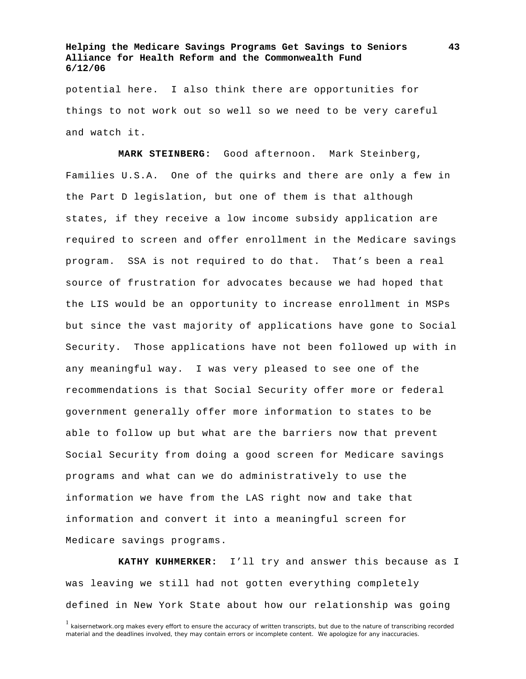potential here. I also think there are opportunities for things to not work out so well so we need to be very careful and watch it.

**MARK STEINBERG:** Good afternoon. Mark Steinberg, Families U.S.A. One of the quirks and there are only a few in the Part D legislation, but one of them is that although states, if they receive a low income subsidy application are required to screen and offer enrollment in the Medicare savings program. SSA is not required to do that. That's been a real source of frustration for advocates because we had hoped that the LIS would be an opportunity to increase enrollment in MSPs but since the vast majority of applications have gone to Social Security. Those applications have not been followed up with in any meaningful way. I was very pleased to see one of the recommendations is that Social Security offer more or federal government generally offer more information to states to be able to follow up but what are the barriers now that prevent Social Security from doing a good screen for Medicare savings programs and what can we do administratively to use the information we have from the LAS right now and take that information and convert it into a meaningful screen for Medicare savings programs.

**KATHY KUHMERKER:** I'll try and answer this because as I was leaving we still had not gotten everything completely defined in New York State about how our relationship was going

<sup>&</sup>lt;sup>1</sup> kaisernetwork.org makes every effort to ensure the accuracy of written transcripts, but due to the nature of transcribing recorded material and the deadlines involved, they may contain errors or incomplete content. We apologize for any inaccuracies.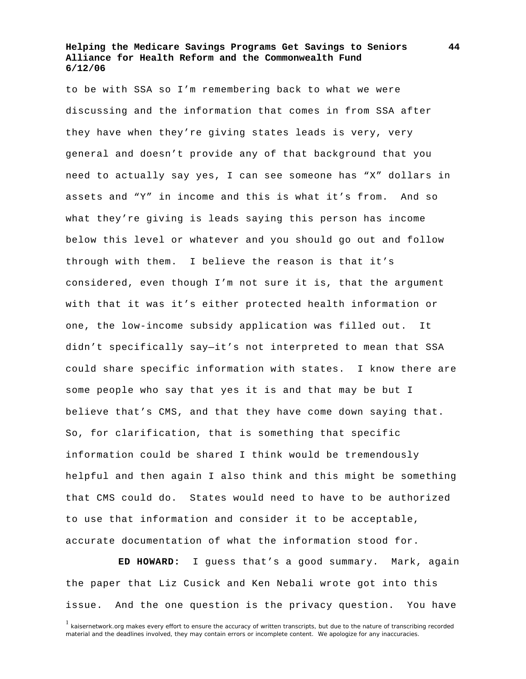to be with SSA so I'm remembering back to what we were discussing and the information that comes in from SSA after they have when they're giving states leads is very, very general and doesn't provide any of that background that you need to actually say yes, I can see someone has "X" dollars in assets and "Y" in income and this is what it's from. And so what they're giving is leads saying this person has income below this level or whatever and you should go out and follow through with them. I believe the reason is that it's considered, even though I'm not sure it is, that the argument with that it was it's either protected health information or one, the low-income subsidy application was filled out. It didn't specifically say—it's not interpreted to mean that SSA could share specific information with states. I know there are some people who say that yes it is and that may be but I believe that's CMS, and that they have come down saying that. So, for clarification, that is something that specific information could be shared I think would be tremendously helpful and then again I also think and this might be something that CMS could do. States would need to have to be authorized to use that information and consider it to be acceptable, accurate documentation of what the information stood for.

**ED HOWARD:** I guess that's a good summary. Mark, again the paper that Liz Cusick and Ken Nebali wrote got into this issue. And the one question is the privacy question. You have

<sup>&</sup>lt;sup>1</sup> kaisernetwork.org makes every effort to ensure the accuracy of written transcripts, but due to the nature of transcribing recorded material and the deadlines involved, they may contain errors or incomplete content. We apologize for any inaccuracies.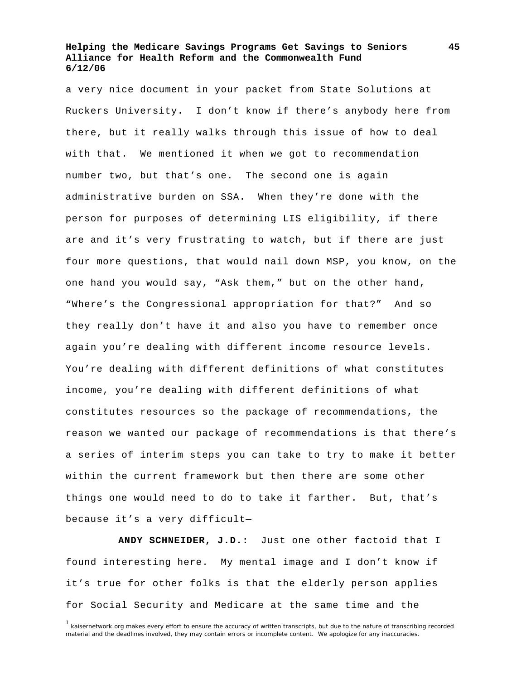a very nice document in your packet from State Solutions at Ruckers University. I don't know if there's anybody here from there, but it really walks through this issue of how to deal with that. We mentioned it when we got to recommendation number two, but that's one. The second one is again administrative burden on SSA. When they're done with the person for purposes of determining LIS eligibility, if there are and it's very frustrating to watch, but if there are just four more questions, that would nail down MSP, you know, on the one hand you would say, "Ask them," but on the other hand, "Where's the Congressional appropriation for that?" And so they really don't have it and also you have to remember once again you're dealing with different income resource levels. You're dealing with different definitions of what constitutes income, you're dealing with different definitions of what constitutes resources so the package of recommendations, the reason we wanted our package of recommendations is that there's a series of interim steps you can take to try to make it better within the current framework but then there are some other things one would need to do to take it farther. But, that's because it's a very difficult—

**ANDY SCHNEIDER, J.D.:** Just one other factoid that I found interesting here. My mental image and I don't know if it's true for other folks is that the elderly person applies for Social Security and Medicare at the same time and the

<sup>&</sup>lt;sup>1</sup> kaisernetwork.org makes every effort to ensure the accuracy of written transcripts, but due to the nature of transcribing recorded material and the deadlines involved, they may contain errors or incomplete content. We apologize for any inaccuracies.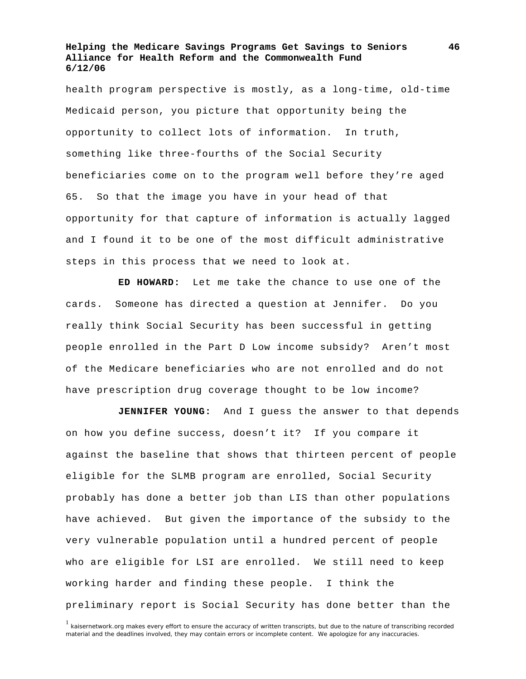health program perspective is mostly, as a long-time, old-time Medicaid person, you picture that opportunity being the opportunity to collect lots of information. In truth, something like three-fourths of the Social Security beneficiaries come on to the program well before they're aged 65. So that the image you have in your head of that opportunity for that capture of information is actually lagged and I found it to be one of the most difficult administrative steps in this process that we need to look at.

**ED HOWARD:** Let me take the chance to use one of the cards. Someone has directed a question at Jennifer. Do you really think Social Security has been successful in getting people enrolled in the Part D Low income subsidy? Aren't most of the Medicare beneficiaries who are not enrolled and do not have prescription drug coverage thought to be low income?

**JENNIFER YOUNG:** And I guess the answer to that depends on how you define success, doesn't it? If you compare it against the baseline that shows that thirteen percent of people eligible for the SLMB program are enrolled, Social Security probably has done a better job than LIS than other populations have achieved. But given the importance of the subsidy to the very vulnerable population until a hundred percent of people who are eligible for LSI are enrolled. We still need to keep working harder and finding these people. I think the preliminary report is Social Security has done better than the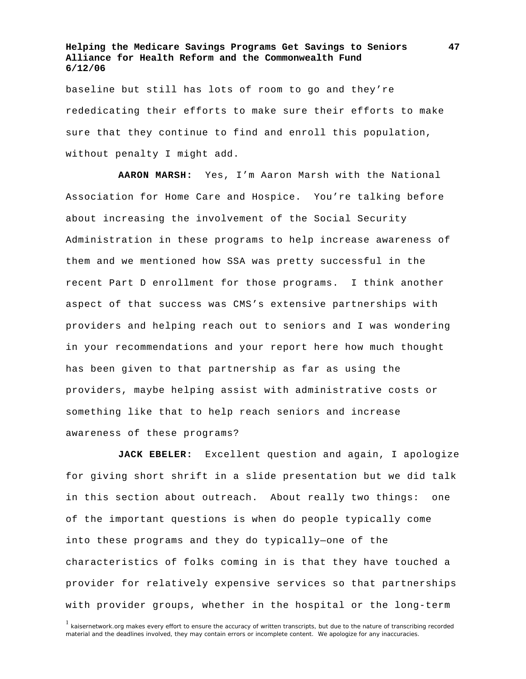baseline but still has lots of room to go and they're rededicating their efforts to make sure their efforts to make sure that they continue to find and enroll this population, without penalty I might add.

**AARON MARSH:** Yes, I'm Aaron Marsh with the National Association for Home Care and Hospice. You're talking before about increasing the involvement of the Social Security Administration in these programs to help increase awareness of them and we mentioned how SSA was pretty successful in the recent Part D enrollment for those programs. I think another aspect of that success was CMS's extensive partnerships with providers and helping reach out to seniors and I was wondering in your recommendations and your report here how much thought has been given to that partnership as far as using the providers, maybe helping assist with administrative costs or something like that to help reach seniors and increase awareness of these programs?

**JACK EBELER:** Excellent question and again, I apologize for giving short shrift in a slide presentation but we did talk in this section about outreach. About really two things: one of the important questions is when do people typically come into these programs and they do typically—one of the characteristics of folks coming in is that they have touched a provider for relatively expensive services so that partnerships with provider groups, whether in the hospital or the long-term

<sup>&</sup>lt;sup>1</sup> kaisernetwork.org makes every effort to ensure the accuracy of written transcripts, but due to the nature of transcribing recorded material and the deadlines involved, they may contain errors or incomplete content. We apologize for any inaccuracies.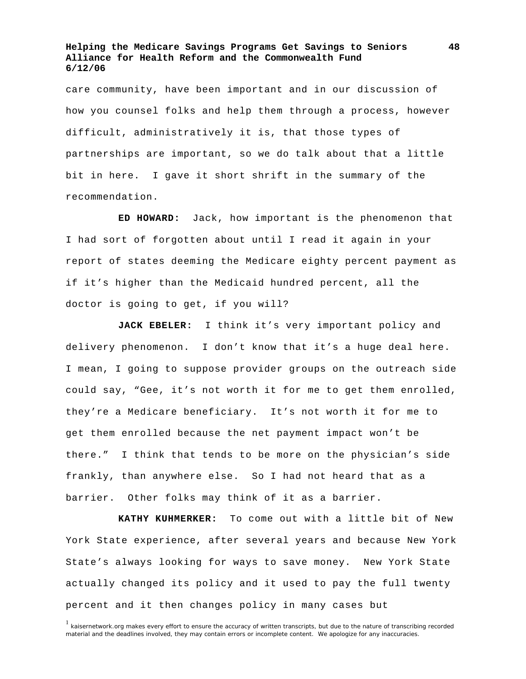care community, have been important and in our discussion of how you counsel folks and help them through a process, however difficult, administratively it is, that those types of partnerships are important, so we do talk about that a little bit in here. I gave it short shrift in the summary of the recommendation.

**ED HOWARD:** Jack, how important is the phenomenon that I had sort of forgotten about until I read it again in your report of states deeming the Medicare eighty percent payment as if it's higher than the Medicaid hundred percent, all the doctor is going to get, if you will?

**JACK EBELER:** I think it's very important policy and delivery phenomenon. I don't know that it's a huge deal here. I mean, I going to suppose provider groups on the outreach side could say, "Gee, it's not worth it for me to get them enrolled, they're a Medicare beneficiary. It's not worth it for me to get them enrolled because the net payment impact won't be there." I think that tends to be more on the physician's side frankly, than anywhere else. So I had not heard that as a barrier. Other folks may think of it as a barrier.

**KATHY KUHMERKER:** To come out with a little bit of New York State experience, after several years and because New York State's always looking for ways to save money. New York State actually changed its policy and it used to pay the full twenty percent and it then changes policy in many cases but

<sup>&</sup>lt;sup>1</sup> kaisernetwork.org makes every effort to ensure the accuracy of written transcripts, but due to the nature of transcribing recorded material and the deadlines involved, they may contain errors or incomplete content. We apologize for any inaccuracies.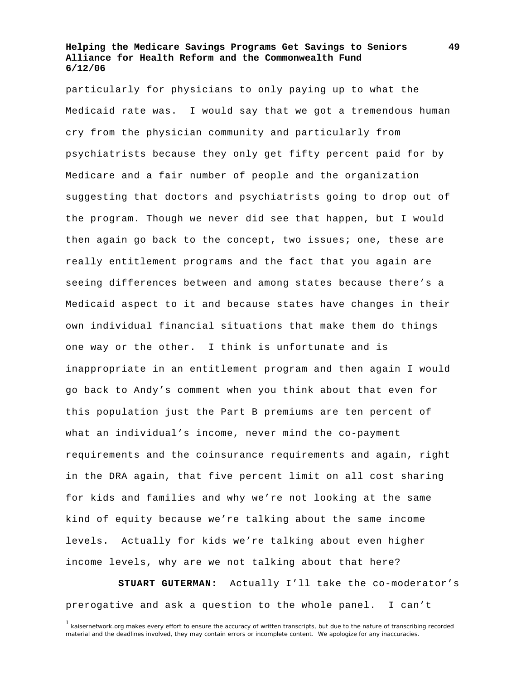particularly for physicians to only paying up to what the Medicaid rate was. I would say that we got a tremendous human cry from the physician community and particularly from psychiatrists because they only get fifty percent paid for by Medicare and a fair number of people and the organization suggesting that doctors and psychiatrists going to drop out of the program. Though we never did see that happen, but I would then again go back to the concept, two issues; one, these are really entitlement programs and the fact that you again are seeing differences between and among states because there's a Medicaid aspect to it and because states have changes in their own individual financial situations that make them do things one way or the other. I think is unfortunate and is inappropriate in an entitlement program and then again I would go back to Andy's comment when you think about that even for this population just the Part B premiums are ten percent of what an individual's income, never mind the co-payment requirements and the coinsurance requirements and again, right in the DRA again, that five percent limit on all cost sharing for kids and families and why we're not looking at the same kind of equity because we're talking about the same income levels. Actually for kids we're talking about even higher income levels, why are we not talking about that here?

**STUART GUTERMAN:** Actually I'll take the co-moderator's prerogative and ask a question to the whole panel. I can't

<sup>&</sup>lt;sup>1</sup> kaisernetwork.org makes every effort to ensure the accuracy of written transcripts, but due to the nature of transcribing recorded material and the deadlines involved, they may contain errors or incomplete content. We apologize for any inaccuracies.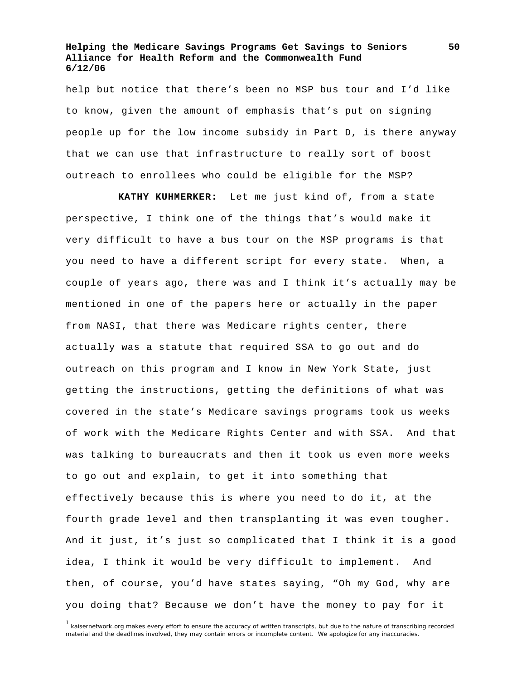help but notice that there's been no MSP bus tour and I'd like to know, given the amount of emphasis that's put on signing people up for the low income subsidy in Part D, is there anyway that we can use that infrastructure to really sort of boost outreach to enrollees who could be eligible for the MSP?

**KATHY KUHMERKER:** Let me just kind of, from a state perspective, I think one of the things that's would make it very difficult to have a bus tour on the MSP programs is that you need to have a different script for every state. When, a couple of years ago, there was and I think it's actually may be mentioned in one of the papers here or actually in the paper from NASI, that there was Medicare rights center, there actually was a statute that required SSA to go out and do outreach on this program and I know in New York State, just getting the instructions, getting the definitions of what was covered in the state's Medicare savings programs took us weeks of work with the Medicare Rights Center and with SSA. And that was talking to bureaucrats and then it took us even more weeks to go out and explain, to get it into something that effectively because this is where you need to do it, at the fourth grade level and then transplanting it was even tougher. And it just, it's just so complicated that I think it is a good idea, I think it would be very difficult to implement. And then, of course, you'd have states saying, "Oh my God, why are you doing that? Because we don't have the money to pay for it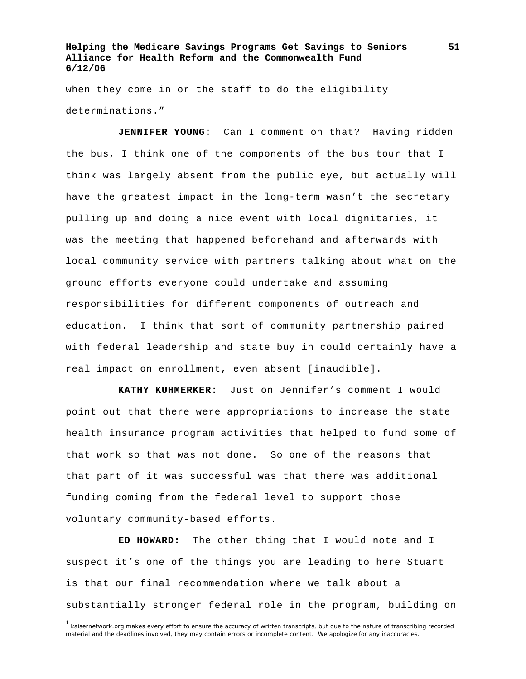when they come in or the staff to do the eligibility determinations."

**JENNIFER YOUNG:** Can I comment on that? Having ridden the bus, I think one of the components of the bus tour that I think was largely absent from the public eye, but actually will have the greatest impact in the long-term wasn't the secretary pulling up and doing a nice event with local dignitaries, it was the meeting that happened beforehand and afterwards with local community service with partners talking about what on the ground efforts everyone could undertake and assuming responsibilities for different components of outreach and education. I think that sort of community partnership paired with federal leadership and state buy in could certainly have a real impact on enrollment, even absent [inaudible].

**KATHY KUHMERKER:** Just on Jennifer's comment I would point out that there were appropriations to increase the state health insurance program activities that helped to fund some of that work so that was not done. So one of the reasons that that part of it was successful was that there was additional funding coming from the federal level to support those voluntary community-based efforts.

**ED HOWARD:** The other thing that I would note and I suspect it's one of the things you are leading to here Stuart is that our final recommendation where we talk about a substantially stronger federal role in the program, building on

<sup>&</sup>lt;sup>1</sup> kaisernetwork.org makes every effort to ensure the accuracy of written transcripts, but due to the nature of transcribing recorded material and the deadlines involved, they may contain errors or incomplete content. We apologize for any inaccuracies.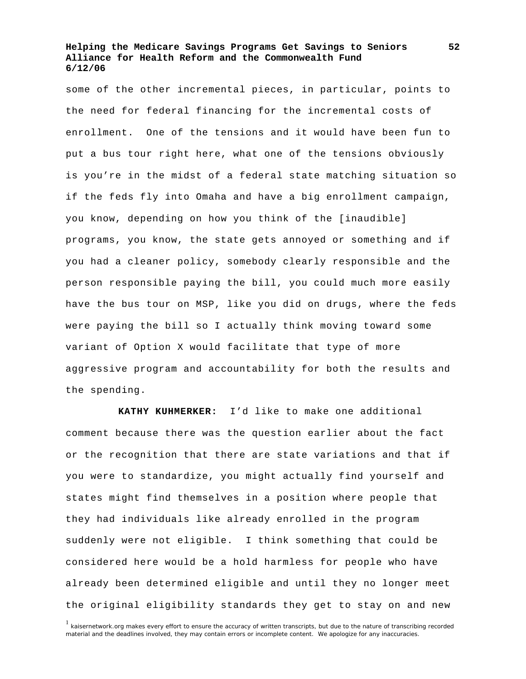some of the other incremental pieces, in particular, points to the need for federal financing for the incremental costs of enrollment. One of the tensions and it would have been fun to put a bus tour right here, what one of the tensions obviously is you're in the midst of a federal state matching situation so if the feds fly into Omaha and have a big enrollment campaign, you know, depending on how you think of the [inaudible] programs, you know, the state gets annoyed or something and if you had a cleaner policy, somebody clearly responsible and the person responsible paying the bill, you could much more easily have the bus tour on MSP, like you did on drugs, where the feds were paying the bill so I actually think moving toward some variant of Option X would facilitate that type of more aggressive program and accountability for both the results and the spending.

**KATHY KUHMERKER:** I'd like to make one additional comment because there was the question earlier about the fact or the recognition that there are state variations and that if you were to standardize, you might actually find yourself and states might find themselves in a position where people that they had individuals like already enrolled in the program suddenly were not eligible. I think something that could be considered here would be a hold harmless for people who have already been determined eligible and until they no longer meet the original eligibility standards they get to stay on and new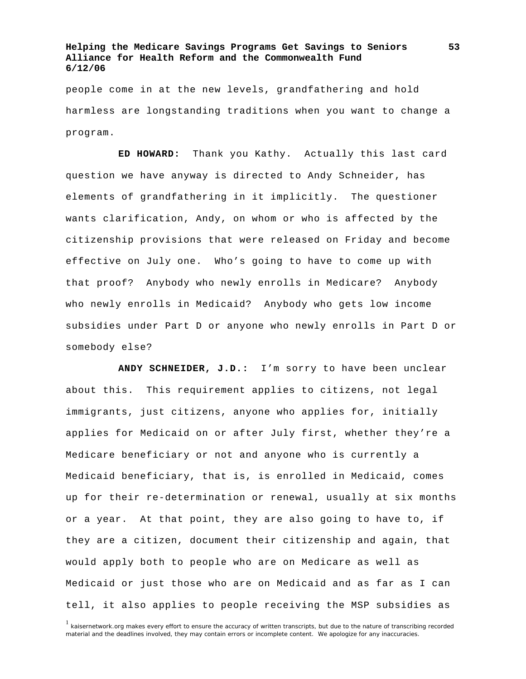people come in at the new levels, grandfathering and hold harmless are longstanding traditions when you want to change a program.

**ED HOWARD:** Thank you Kathy. Actually this last card question we have anyway is directed to Andy Schneider, has elements of grandfathering in it implicitly. The questioner wants clarification, Andy, on whom or who is affected by the citizenship provisions that were released on Friday and become effective on July one. Who's going to have to come up with that proof? Anybody who newly enrolls in Medicare? Anybody who newly enrolls in Medicaid? Anybody who gets low income subsidies under Part D or anyone who newly enrolls in Part D or somebody else?

**ANDY SCHNEIDER, J.D.:** I'm sorry to have been unclear about this. This requirement applies to citizens, not legal immigrants, just citizens, anyone who applies for, initially applies for Medicaid on or after July first, whether they're a Medicare beneficiary or not and anyone who is currently a Medicaid beneficiary, that is, is enrolled in Medicaid, comes up for their re-determination or renewal, usually at six months or a year. At that point, they are also going to have to, if they are a citizen, document their citizenship and again, that would apply both to people who are on Medicare as well as Medicaid or just those who are on Medicaid and as far as I can tell, it also applies to people receiving the MSP subsidies as

<sup>1</sup> kaisernetwork.org makes every effort to ensure the accuracy of written transcripts, but due to the nature of transcribing recorded material and the deadlines involved, they may contain errors or incomplete content. We apologize for any inaccuracies.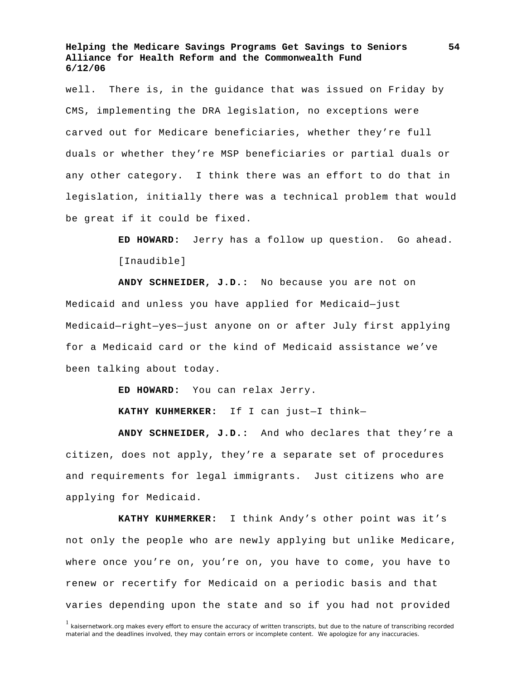well. There is, in the guidance that was issued on Friday by CMS, implementing the DRA legislation, no exceptions were carved out for Medicare beneficiaries, whether they're full duals or whether they're MSP beneficiaries or partial duals or any other category. I think there was an effort to do that in legislation, initially there was a technical problem that would be great if it could be fixed.

> **ED HOWARD:** Jerry has a follow up question. Go ahead. [Inaudible]

**ANDY SCHNEIDER, J.D.:** No because you are not on Medicaid and unless you have applied for Medicaid—just Medicaid—right—yes—just anyone on or after July first applying for a Medicaid card or the kind of Medicaid assistance we've been talking about today.

**ED HOWARD:** You can relax Jerry.

**KATHY KUHMERKER:** If I can just—I think—

**ANDY SCHNEIDER, J.D.:** And who declares that they're a citizen, does not apply, they're a separate set of procedures and requirements for legal immigrants. Just citizens who are applying for Medicaid.

**KATHY KUHMERKER:** I think Andy's other point was it's not only the people who are newly applying but unlike Medicare, where once you're on, you're on, you have to come, you have to renew or recertify for Medicaid on a periodic basis and that varies depending upon the state and so if you had not provided

<sup>&</sup>lt;sup>1</sup> kaisernetwork.org makes every effort to ensure the accuracy of written transcripts, but due to the nature of transcribing recorded material and the deadlines involved, they may contain errors or incomplete content. We apologize for any inaccuracies.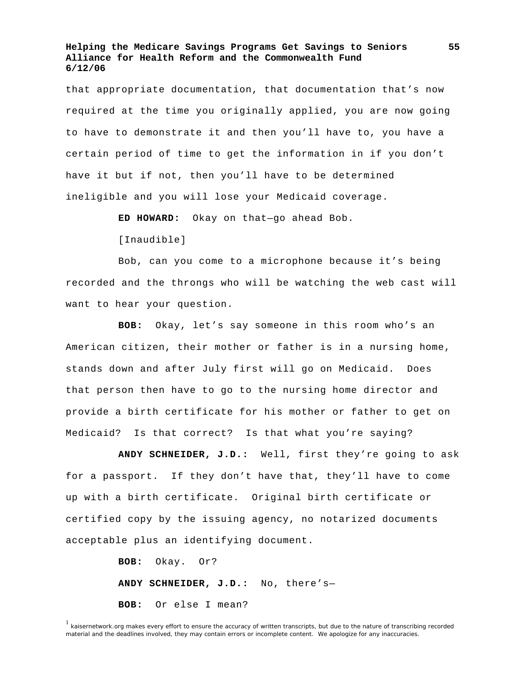that appropriate documentation, that documentation that's now required at the time you originally applied, you are now going to have to demonstrate it and then you'll have to, you have a certain period of time to get the information in if you don't have it but if not, then you'll have to be determined ineligible and you will lose your Medicaid coverage.

**ED HOWARD:** Okay on that—go ahead Bob.

[Inaudible]

 Bob, can you come to a microphone because it's being recorded and the throngs who will be watching the web cast will want to hear your question.

**BOB:** Okay, let's say someone in this room who's an American citizen, their mother or father is in a nursing home, stands down and after July first will go on Medicaid. Does that person then have to go to the nursing home director and provide a birth certificate for his mother or father to get on Medicaid? Is that correct? Is that what you're saying?

**ANDY SCHNEIDER, J.D.:** Well, first they're going to ask for a passport. If they don't have that, they'll have to come up with a birth certificate. Original birth certificate or certified copy by the issuing agency, no notarized documents acceptable plus an identifying document.

> **BOB:** Okay. Or? **ANDY SCHNEIDER, J.D.:** No, there's— **BOB:** Or else I mean?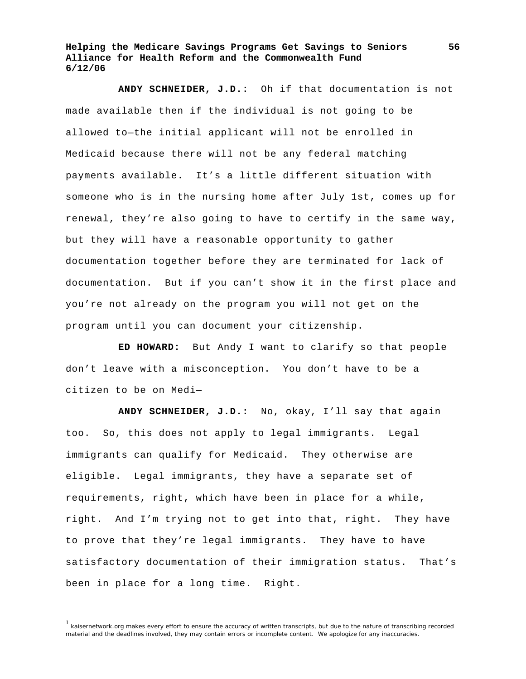**ANDY SCHNEIDER, J.D.:** Oh if that documentation is not made available then if the individual is not going to be allowed to—the initial applicant will not be enrolled in Medicaid because there will not be any federal matching payments available. It's a little different situation with someone who is in the nursing home after July 1st, comes up for renewal, they're also going to have to certify in the same way, but they will have a reasonable opportunity to gather documentation together before they are terminated for lack of documentation. But if you can't show it in the first place and you're not already on the program you will not get on the program until you can document your citizenship.

**ED HOWARD:** But Andy I want to clarify so that people don't leave with a misconception. You don't have to be a citizen to be on Medi—

**ANDY SCHNEIDER, J.D.:** No, okay, I'll say that again too. So, this does not apply to legal immigrants. Legal immigrants can qualify for Medicaid. They otherwise are eligible. Legal immigrants, they have a separate set of requirements, right, which have been in place for a while, right. And I'm trying not to get into that, right. They have to prove that they're legal immigrants. They have to have satisfactory documentation of their immigration status. That's been in place for a long time. Right.

 $<sup>1</sup>$  kaisernetwork.org makes every effort to ensure the accuracy of written transcripts, but due to the nature of transcribing recorded</sup> material and the deadlines involved, they may contain errors or incomplete content. We apologize for any inaccuracies.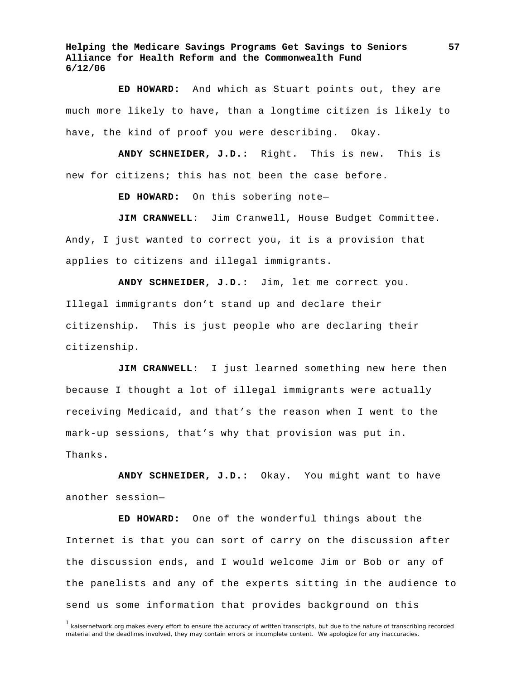**ED HOWARD:** And which as Stuart points out, they are much more likely to have, than a longtime citizen is likely to have, the kind of proof you were describing. Okay.

**ANDY SCHNEIDER, J.D.:** Right. This is new. This is new for citizens; this has not been the case before.

**ED HOWARD:** On this sobering note—

**JIM CRANWELL:** Jim Cranwell, House Budget Committee. Andy, I just wanted to correct you, it is a provision that applies to citizens and illegal immigrants.

**ANDY SCHNEIDER, J.D.:** Jim, let me correct you. Illegal immigrants don't stand up and declare their citizenship. This is just people who are declaring their citizenship.

**JIM CRANWELL:** I just learned something new here then because I thought a lot of illegal immigrants were actually receiving Medicaid, and that's the reason when I went to the mark-up sessions, that's why that provision was put in. Thanks.

**ANDY SCHNEIDER, J.D.:** Okay. You might want to have another session—

**ED HOWARD:** One of the wonderful things about the Internet is that you can sort of carry on the discussion after the discussion ends, and I would welcome Jim or Bob or any of the panelists and any of the experts sitting in the audience to send us some information that provides background on this

<sup>&</sup>lt;sup>1</sup> kaisernetwork.org makes every effort to ensure the accuracy of written transcripts, but due to the nature of transcribing recorded material and the deadlines involved, they may contain errors or incomplete content. We apologize for any inaccuracies.